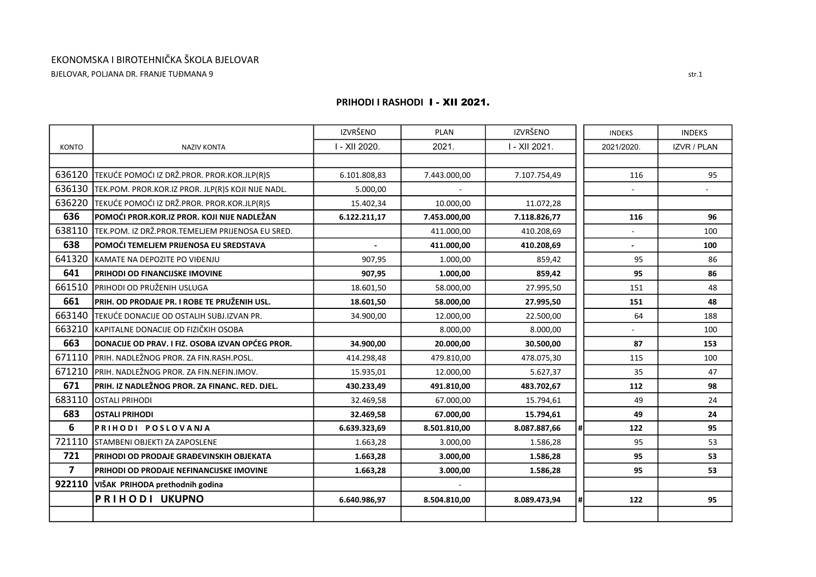## EKONOMSKA I BIROTEHNIČKA ŠKOLA BJELOVAR BJELOVAR, POLJANA DR. FRANJE TUĐMANA 9

|                |                                                    | <b>IZVRŠENO</b> | <b>PLAN</b>  | <b>IZVRŠENO</b> | <b>INDEKS</b> |     | <b>INDEKS</b>      |
|----------------|----------------------------------------------------|-----------------|--------------|-----------------|---------------|-----|--------------------|
| <b>KONTO</b>   | <b>NAZIV KONTA</b>                                 | I - XII 2020.   | 2021.        | I - XII 2021.   | 2021/2020.    |     | <b>IZVR / PLAN</b> |
|                |                                                    |                 |              |                 |               |     |                    |
| 636120         | TEKUĆE POMOĆI IZ DRŽ.PROR. PROR.KOR.JLP(R)S        | 6.101.808,83    | 7.443.000,00 | 7.107.754,49    |               | 116 | 95                 |
| 636130         | TEK.POM. PROR.KOR.IZ PROR. JLP(R)S KOJI NIJE NADL. | 5.000,00        | $\omega$     |                 |               |     |                    |
| 636220         | TEKUĆE POMOĆI IZ DRŽ.PROR. PROR.KOR.JLP(R)S        | 15.402,34       | 10.000,00    | 11.072,28       |               |     |                    |
| 636            | POMOĆI PROR.KOR.IZ PROR. KOJI NIJE NADLEŽAN        | 6.122.211,17    | 7.453.000,00 | 7.118.826,77    |               | 116 | 96                 |
| 638110         | TEK.POM. IZ DRŽ.PROR.TEMELJEM PRIJENOSA EU SRED.   |                 | 411.000,00   | 410.208,69      |               |     | 100                |
| 638            | POMOĆI TEMELJEM PRIJENOSA EU SREDSTAVA             |                 | 411.000,00   | 410.208,69      |               |     | 100                |
| 641320         | KAMATE NA DEPOZITE PO VIĐENJU                      | 907,95          | 1.000,00     | 859,42          |               | 95  | 86                 |
| 641            | PRIHODI OD FINANCIJSKE IMOVINE                     | 907,95          | 1.000,00     | 859,42          |               | 95  | 86                 |
| 661510         | PRIHODI OD PRUŽENIH USLUGA                         | 18.601,50       | 58.000,00    | 27.995,50       |               | 151 | 48                 |
| 661            | PRIH. OD PRODAJE PR. I ROBE TE PRUŽENIH USL.       | 18.601,50       | 58.000,00    | 27.995,50       |               | 151 | 48                 |
| 663140         | TEKUĆE DONACIJE OD OSTALIH SUBJ.IZVAN PR.          | 34.900,00       | 12.000,00    | 22.500,00       |               | 64  | 188                |
| 663210         | KAPITALNE DONACIJE OD FIZIČKIH OSOBA               |                 | 8.000,00     | 8.000,00        |               |     | 100                |
| 663            | DONACIJE OD PRAV. I FIZ. OSOBA IZVAN OPĆEG PROR.   | 34.900,00       | 20.000,00    | 30.500,00       |               | 87  | 153                |
| 671110         | PRIH. NADLEŽNOG PROR. ZA FIN.RASH.POSL.            | 414.298,48      | 479.810,00   | 478.075,30      |               | 115 | 100                |
| 671210         | PRIH. NADLEŽNOG PROR. ZA FIN.NEFIN.IMOV.           | 15.935,01       | 12.000,00    | 5.627,37        |               | 35  | 47                 |
| 671            | PRIH. IZ NADLEŽNOG PROR. ZA FINANC. RED. DJEL.     | 430.233,49      | 491.810,00   | 483.702,67      |               | 112 | 98                 |
| 683110         | <b>OSTALI PRIHODI</b>                              | 32.469,58       | 67.000,00    | 15.794,61       |               | 49  | 24                 |
| 683            | <b>OSTALI PRIHODI</b>                              | 32.469,58       | 67.000,00    | 15.794,61       |               | 49  | 24                 |
| 6              | PRIHODI POSLOVANJA                                 | 6.639.323,69    | 8.501.810,00 | 8.087.887,66    | #I            | 122 | 95                 |
| 721110         | <b>I</b> STAMBENI OBJEKTI ZA ZAPOSLENE             | 1.663,28        | 3.000,00     | 1.586,28        |               | 95  | 53                 |
| 721            | PRIHODI OD PRODAJE GRAĐEVINSKIH OBJEKATA           | 1.663,28        | 3.000,00     | 1.586,28        |               | 95  | 53                 |
| $\overline{7}$ | PRIHODI OD PRODAJE NEFINANCIJSKE IMOVINE           | 1.663,28        | 3.000,00     | 1.586,28        |               | 95  | 53                 |
| 922110         | VIŠAK PRIHODA prethodnih godina                    |                 |              |                 |               |     |                    |
|                | <b>PRIHODI UKUPNO</b>                              | 6.640.986,97    | 8.504.810,00 | 8.089.473,94    | #l            | 122 | 95                 |
|                |                                                    |                 |              |                 |               |     |                    |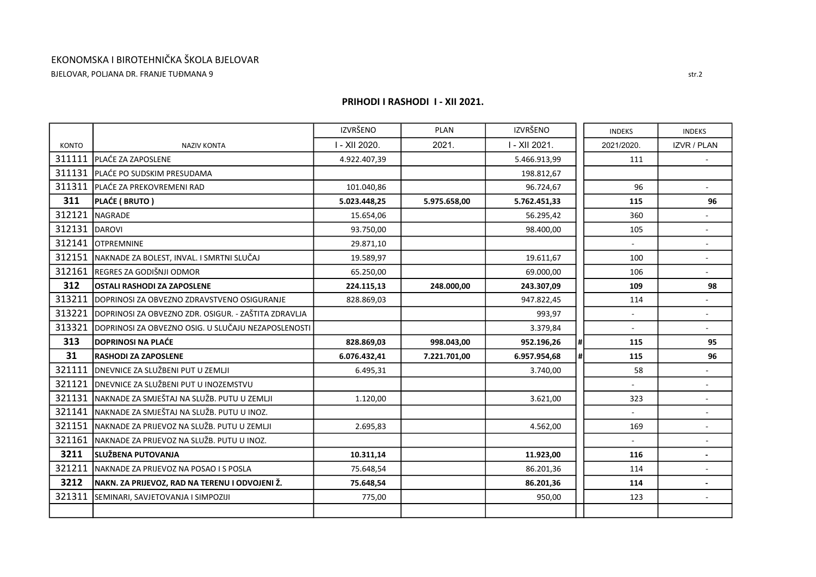BJELOVAR, POLJANA DR. FRANJE TUĐMANA 9

|              |                                                      | <b>IZVRŠENO</b> | <b>PLAN</b>  | IZVRŠENO      |     | <b>INDEKS</b> | <b>INDEKS</b>            |
|--------------|------------------------------------------------------|-----------------|--------------|---------------|-----|---------------|--------------------------|
| <b>KONTO</b> | <b>NAZIV KONTA</b>                                   | I - XII 2020.   | 2021.        | I - XII 2021. |     | 2021/2020.    | <b>IZVR / PLAN</b>       |
| 311111       | <b>PLAĆE ZA ZAPOSLENE</b>                            | 4.922.407,39    |              | 5.466.913,99  |     | 111           |                          |
| 311131       | PLAĆE PO SUDSKIM PRESUDAMA                           |                 |              | 198.812,67    |     |               |                          |
| 311311       | IPLAĆE ZA PREKOVREMENI RAD                           | 101.040,86      |              | 96.724,67     |     | 96            | ÷.                       |
| 311          | PLAĆE (BRUTO)                                        | 5.023.448,25    | 5.975.658,00 | 5.762.451,33  |     | 115           | 96                       |
| 312121       | NAGRADE                                              | 15.654,06       |              | 56.295,42     |     | 360           |                          |
| 312131       | DAROVI                                               | 93.750,00       |              | 98.400,00     |     | 105           | ÷.                       |
| 312141       | <b>OTPREMNINE</b>                                    | 29.871,10       |              |               |     |               |                          |
| 312151       | NAKNADE ZA BOLEST, INVAL. I SMRTNI SLUČAJ            | 19.589,97       |              | 19.611,67     |     | 100           |                          |
| 312161       | REGRES ZA GODIŠNJI ODMOR                             | 65.250,00       |              | 69.000,00     |     | 106           | ÷.                       |
| 312          | <b>OSTALI RASHODI ZA ZAPOSLENE</b>                   | 224.115,13      | 248.000,00   | 243.307,09    |     | 109           | 98                       |
| 313211       | DOPRINOSI ZA OBVEZNO ZDRAVSTVENO OSIGURANJE          | 828.869,03      |              | 947.822,45    |     | 114           |                          |
| 313221       | DOPRINOSI ZA OBVEZNO ZDR. OSIGUR. - ZAŠTITA ZDRAVLJA |                 |              | 993.97        |     |               | $\overline{\phantom{a}}$ |
| 313321       | DOPRINOSI ZA OBVEZNO OSIG. U SLUČAJU NEZAPOSLENOSTI  |                 |              | 3.379,84      |     |               | ÷.                       |
| 313          | <b>DOPRINOSI NA PLAĆE</b>                            | 828.869,03      | 998.043,00   | 952.196,26    | '#l | 115           | 95                       |
| 31           | <b>RASHODI ZA ZAPOSLENE</b>                          | 6.076.432,41    | 7.221.701,00 | 6.957.954,68  | #I  | 115           | 96                       |
| 321111       | <b>DNEVNICE ZA SLUŽBENI PUT U ZEMLJI</b>             | 6.495,31        |              | 3.740,00      |     | 58            |                          |
| 321121       | <b>DNEVNICE ZA SLUŽBENI PUT U INOZEMSTVU</b>         |                 |              |               |     |               |                          |
| 321131       | NAKNADE ZA SMJEŠTAJ NA SLUŽB. PUTU U ZEMLJI          | 1.120,00        |              | 3.621,00      |     | 323           |                          |
| 321141       | NAKNADE ZA SMJEŠTAJ NA SLUŽB. PUTU U INOZ.           |                 |              |               |     |               |                          |
| 321151       | NAKNADE ZA PRIJEVOZ NA SLUŽB. PUTU U ZEMLJI          | 2.695,83        |              | 4.562,00      |     | 169           | ÷                        |
| 321161       | NAKNADE ZA PRIJEVOZ NA SLUŽB. PUTU U INOZ.           |                 |              |               |     |               |                          |
| 3211         | <b>SLUŽBENA PUTOVANJA</b>                            | 10.311,14       |              | 11.923,00     |     | 116           |                          |
| 321211       | NAKNADE ZA PRIJEVOZ NA POSAO I S POSLA               | 75.648,54       |              | 86.201,36     |     | 114           | $\overline{\phantom{0}}$ |
| 3212         | NAKN. ZA PRIJEVOZ, RAD NA TERENU I ODVOJENI Ž.       | 75.648,54       |              | 86.201,36     |     | 114           |                          |
| 321311       | SEMINARI, SAVJETOVANJA I SIMPOZIJI                   | 775,00          |              | 950,00        |     | 123           |                          |
|              |                                                      |                 |              |               |     |               |                          |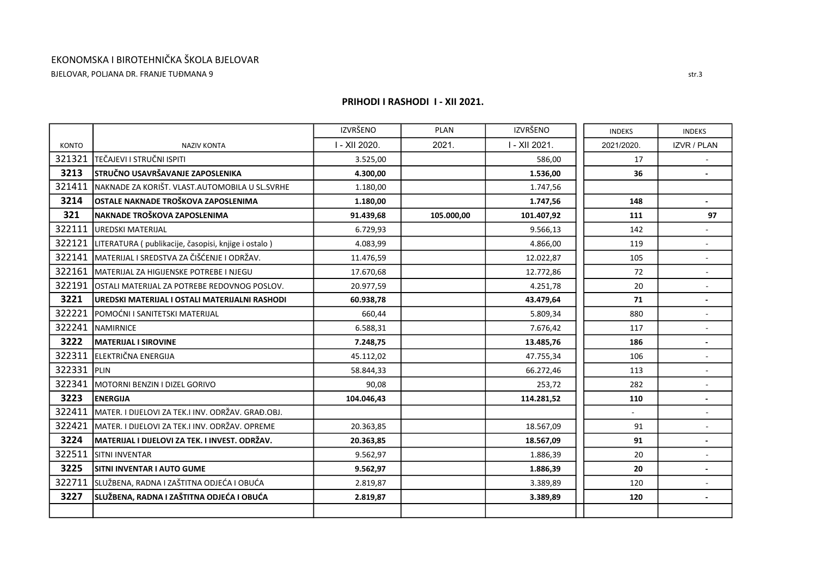BJELOVAR, POLJANA DR. FRANJE TUĐMANA 9

|              |                                                        | <b>IZVRŠENO</b> | <b>PLAN</b> | <b>IZVRŠENO</b> | <b>INDEKS</b> | <b>INDEKS</b>      |
|--------------|--------------------------------------------------------|-----------------|-------------|-----------------|---------------|--------------------|
| <b>KONTO</b> | <b>NAZIV KONTA</b>                                     | I - XII 2020.   | 2021.       | I - XII 2021.   | 2021/2020.    | <b>IZVR / PLAN</b> |
| 321321       | TEČAJEVI I STRUČNI ISPITI                              | 3.525,00        |             | 586,00          | 17            |                    |
| 3213         | STRUČNO USAVRŠAVANJE ZAPOSLENIKA                       | 4.300,00        |             | 1.536,00        | 36            |                    |
| 321411       | NAKNADE ZA KORIŠT. VLAST.AUTOMOBILA U SL.SVRHE         | 1.180,00        |             | 1.747,56        |               |                    |
| 3214         | OSTALE NAKNADE TROŠKOVA ZAPOSLENIMA                    | 1.180,00        |             | 1.747,56        | 148           |                    |
| 321          | NAKNADE TROŠKOVA ZAPOSLENIMA                           | 91.439,68       | 105.000,00  | 101.407,92      | 111           | 97                 |
| 322111       | <b>UREDSKI MATERIJAL</b>                               | 6.729,93        |             | 9.566,13        | 142           |                    |
| 322121       | LITERATURA ( publikacije, časopisi, knjige i ostalo )  | 4.083,99        |             | 4.866,00        | 119           |                    |
| 322141       | MATERIJAL I SREDSTVA ZA ČIŠĆENJE I ODRŽAV.             | 11.476,59       |             | 12.022,87       | 105           |                    |
| 322161       | MATERIJAL ZA HIGIJENSKE POTREBE I NJEGU                | 17.670,68       |             | 12.772,86       | 72            | ÷.                 |
| 322191       | <b>OSTALI MATERIJAL ZA POTREBE REDOVNOG POSLOV.</b>    | 20.977,59       |             | 4.251,78        | 20            |                    |
| 3221         | UREDSKI MATERIJAL I OSTALI MATERIJALNI RASHODI         | 60.938,78       |             | 43.479,64       | 71            |                    |
| 322221       | POMOĆNI I SANITETSKI MATERIJAL                         | 660,44          |             | 5.809,34        | 880           |                    |
| 322241       | NAMIRNICE                                              | 6.588,31        |             | 7.676,42        | 117           |                    |
| 3222         | <b>MATERIJAL I SIROVINE</b>                            | 7.248,75        |             | 13.485,76       | 186           |                    |
| 322311       | ELEKTRIČNA ENERGIJA                                    | 45.112,02       |             | 47.755,34       | 106           |                    |
| 322331       | <b>PLIN</b>                                            | 58.844,33       |             | 66.272,46       | 113           |                    |
| 322341       | MOTORNI BENZIN I DIZEL GORIVO                          | 90,08           |             | 253,72          | 282           |                    |
| 3223         | <b>ENERGIJA</b>                                        | 104.046,43      |             | 114.281,52      | 110           |                    |
| 322411       | MATER. I DIJELOVI ZA TEK.I INV. ODRŽAV. GRAĐ.OBJ.      |                 |             |                 |               |                    |
| 322421       | MATER. I DIJELOVI ZA TEK.I INV. ODRŽAV. OPREME         | 20.363,85       |             | 18.567,09       | 91            |                    |
| 3224         | <b>IMATERIJAL I DIJELOVI ZA TEK. I INVEST. ODRŽAV.</b> | 20.363,85       |             | 18.567,09       | 91            |                    |
| 322511       | <b>SITNI INVENTAR</b>                                  | 9.562,97        |             | 1.886,39        | 20            |                    |
| 3225         | <b>SITNI INVENTAR I AUTO GUME</b>                      | 9.562,97        |             | 1.886,39        | 20            |                    |
| 322711       | SLUŽBENA, RADNA I ZAŠTITNA ODJEĆA I OBUĆA              | 2.819,87        |             | 3.389,89        | 120           |                    |
| 3227         | SLUŽBENA, RADNA I ZAŠTITNA ODJEĆA I OBUĆA              | 2.819,87        |             | 3.389,89        | 120           |                    |
|              |                                                        |                 |             |                 |               |                    |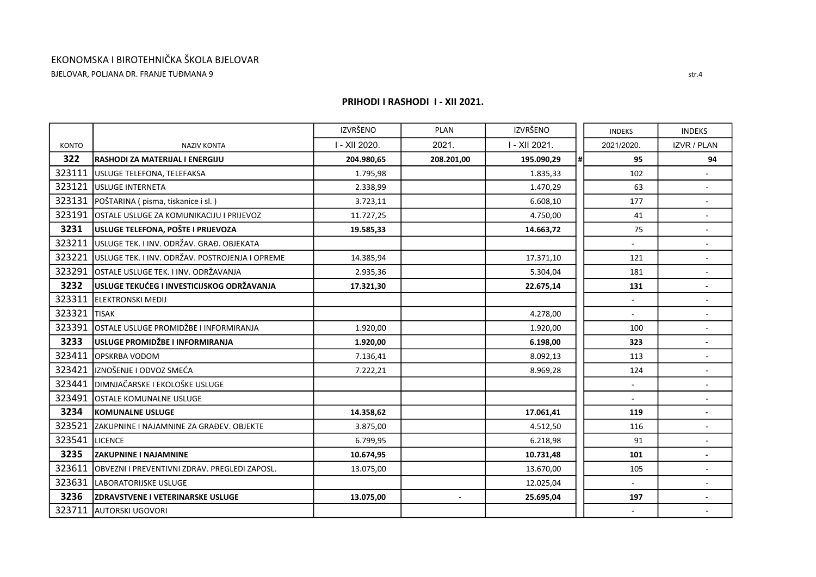BJELOVAR, POLJANA DR. FRANJE TUĐMANA 9

|              |                                                 | <b>IZVRŠENO</b> | <b>PLAN</b>    | IZVRŠENO      |     | <b>INDEKS</b>             | <b>INDEKS</b>            |
|--------------|-------------------------------------------------|-----------------|----------------|---------------|-----|---------------------------|--------------------------|
| <b>KONTO</b> | <b>NAZIV KONTA</b>                              | I - XII 2020.   | 2021.          | I - XII 2021. |     | 2021/2020.                | <b>IZVR / PLAN</b>       |
| 322          | RASHODI ZA MATERIJAL I ENERGIJU                 | 204.980,65      | 208.201,00     | 195.090,29    | l#I | 95                        | 94                       |
| 323111       | USLUGE TELEFONA, TELEFAKSA                      | 1.795,98        |                | 1.835,33      |     | 102                       |                          |
| 323121       | USLUGE INTERNETA                                | 2.338,99        |                | 1.470,29      |     | 63                        | ÷.                       |
| 323131       | POŠTARINA ( pisma, tiskanice i sl. )            | 3.723,11        |                | 6.608,10      |     | 177                       |                          |
| 323191       | OSTALE USLUGE ZA KOMUNIKACIJU I PRIJEVOZ        | 11.727,25       |                | 4.750,00      |     | 41                        |                          |
| 3231         | USLUGE TELEFONA, POŠTE I PRIJEVOZA              | 19.585,33       |                | 14.663,72     |     | 75                        | $\overline{\phantom{a}}$ |
| 323211       | USLUGE TEK. I INV. ODRŽAV. GRAĐ. OBJEKATA       |                 |                |               |     |                           |                          |
| 323221       | USLUGE TEK. I INV. ODRŽAV. POSTROJENJA I OPREME | 14.385,94       |                | 17.371,10     |     | 121                       |                          |
| 323291       | OSTALE USLUGE TEK. I INV. ODRŽAVANJA            | 2.935,36        |                | 5.304,04      |     | 181                       | $\blacksquare$           |
| 3232         | USLUGE TEKUĆEG I INVESTICIJSKOG ODRŽAVANJA      | 17.321,30       |                | 22.675,14     |     | 131                       |                          |
| 323311       | <b>ELEKTRONSKI MEDIJ</b>                        |                 |                |               |     | $\mathbb{Z}^{\mathbb{Z}}$ |                          |
| 323321       | <b>TISAK</b>                                    |                 |                | 4.278,00      |     |                           | ۰                        |
| 323391       | OSTALE USLUGE PROMIDŽBE I INFORMIRANJA          | 1.920,00        |                | 1.920,00      |     | 100                       |                          |
| 3233         | USLUGE PROMIDŽBE I INFORMIRANJA                 | 1.920,00        |                | 6.198,00      |     | 323                       |                          |
| 323411       | OPSKRBA VODOM                                   | 7.136,41        |                | 8.092,13      |     | 113                       |                          |
| 323421       | IZNOŠENJE I ODVOZ SMEĆA                         | 7.222,21        |                | 8.969,28      |     | 124                       | ÷,                       |
| 323441       | DIMNJAČARSKE I EKOLOŠKE USLUGE                  |                 |                |               |     |                           |                          |
| 323491       | OSTALE KOMUNALNE USLUGE                         |                 |                |               |     |                           |                          |
| 3234         | <b>KOMUNALNE USLUGE</b>                         | 14.358,62       |                | 17.061,41     |     | 119                       |                          |
| 323521       | ZAKUPNINE I NAJAMNINE ZA GRAĐEV. OBJEKTE        | 3.875,00        |                | 4.512,50      |     | 116                       |                          |
| 323541       | LICENCE                                         | 6.799,95        |                | 6.218,98      |     | 91                        |                          |
| 3235         | <b>ZAKUPNINE I NAJAMNINE</b>                    | 10.674,95       |                | 10.731,48     |     | 101                       |                          |
| 323611       | OBVEZNI I PREVENTIVNI ZDRAV. PREGLEDI ZAPOSL.   | 13.075,00       |                | 13.670,00     |     | 105                       | ÷.                       |
| 323631       | LABORATORIJSKE USLUGE                           |                 |                | 12.025,04     |     |                           |                          |
| 3236         | <b>ZDRAVSTVENE I VETERINARSKE USLUGE</b>        | 13.075,00       | $\blacksquare$ | 25.695,04     |     | 197                       |                          |
| 323711       | <b>AUTORSKI UGOVORI</b>                         |                 |                |               |     |                           |                          |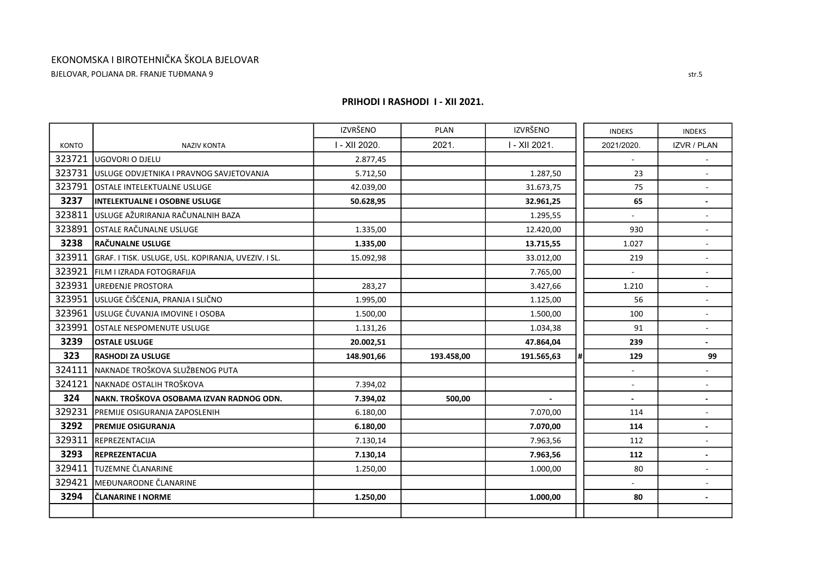BJELOVAR, POLJANA DR. FRANJE TUĐMANA 9

|        |                                                     | <b>IZVRŠENO</b> | <b>PLAN</b> | <b>IZVRŠENO</b> |    | <b>INDEKS</b> | <b>INDEKS</b>            |
|--------|-----------------------------------------------------|-----------------|-------------|-----------------|----|---------------|--------------------------|
| KONTO  | <b>NAZIV KONTA</b>                                  | I - XII 2020.   | 2021.       | I - XII 2021.   |    | 2021/2020.    | <b>IZVR / PLAN</b>       |
| 323721 | lugovori o djelu                                    | 2.877,45        |             |                 |    |               |                          |
| 323731 | lusluge odvjetnika i pravnog savjetovanja           | 5.712,50        |             | 1.287,50        |    | 23            |                          |
| 323791 | <b>OSTALE INTELEKTUALNE USLUGE</b>                  | 42.039,00       |             | 31.673,75       |    | 75            | ÷,                       |
| 3237   | IINTELEKTUALNE I OSOBNE USLUGE                      | 50.628,95       |             | 32.961,25       |    | 65            |                          |
| 323811 | USLUGE AŽURIRANJA RAČUNALNIH BAZA                   |                 |             | 1.295,55        |    |               |                          |
| 323891 | OSTALE RAČUNALNE USLUGE                             | 1.335,00        |             | 12.420,00       |    | 930           | $\overline{\phantom{a}}$ |
| 3238   | <b>RAČUNALNE USLUGE</b>                             | 1.335,00        |             | 13.715,55       |    | 1.027         |                          |
| 323911 | GRAF. I TISK. USLUGE, USL. KOPIRANJA, UVEZIV. I SL. | 15.092,98       |             | 33.012,00       |    | 219           |                          |
| 323921 | <b>FILM LIZRADA FOTOGRAFIJA</b>                     |                 |             | 7.765,00        |    |               | $\overline{\phantom{a}}$ |
| 323931 | <b>UREDENJE PROSTORA</b>                            | 283,27          |             | 3.427,66        |    | 1.210         |                          |
| 323951 | USLUGE ČIŠĆENJA, PRANJA I SLIČNO                    | 1.995,00        |             | 1.125,00        |    | 56            |                          |
| 323961 | <b>l</b> usluge čuvanja imovine i osoba             | 1.500,00        |             | 1.500,00        |    | 100           | $\blacksquare$           |
| 323991 | OSTALE NESPOMENUTE USLUGE                           | 1.131,26        |             | 1.034,38        |    | 91            |                          |
| 3239   | <b>OSTALE USLUGE</b>                                | 20.002,51       |             | 47.864,04       |    | 239           | $\overline{\phantom{0}}$ |
| 323    | <b>RASHODI ZA USLUGE</b>                            | 148.901,66      | 193.458,00  | 191.565,63      | #I | 129           | 99                       |
| 324111 | NAKNADE TROŠKOVA SLUŽBENOG PUTA                     |                 |             |                 |    |               |                          |
| 324121 | NAKNADE OSTALIH TROŠKOVA                            | 7.394,02        |             |                 |    |               |                          |
| 324    | NAKN. TROŠKOVA OSOBAMA IZVAN RADNOG ODN.            | 7.394,02        | 500,00      |                 |    |               |                          |
| 329231 | <b>PREMIJE OSIGURANJA ZAPOSLENIH</b>                | 6.180,00        |             | 7.070,00        |    | 114           |                          |
| 3292   | <b>PREMIJE OSIGURANJA</b>                           | 6.180,00        |             | 7.070,00        |    | 114           |                          |
| 329311 | REPREZENTACIJA                                      | 7.130,14        |             | 7.963,56        |    | 112           |                          |
| 3293   | REPREZENTACIJA                                      | 7.130,14        |             | 7.963,56        |    | 112           |                          |
| 329411 | TUZEMNE ČLANARINE                                   | 1.250,00        |             | 1.000,00        |    | 80            | $\overline{\phantom{0}}$ |
| 329421 | MEĐUNARODNE ČLANARINE                               |                 |             |                 |    |               |                          |
| 3294   | ČLANARINE I NORME                                   | 1.250,00        |             | 1.000,00        |    | 80            |                          |
|        |                                                     |                 |             |                 |    |               |                          |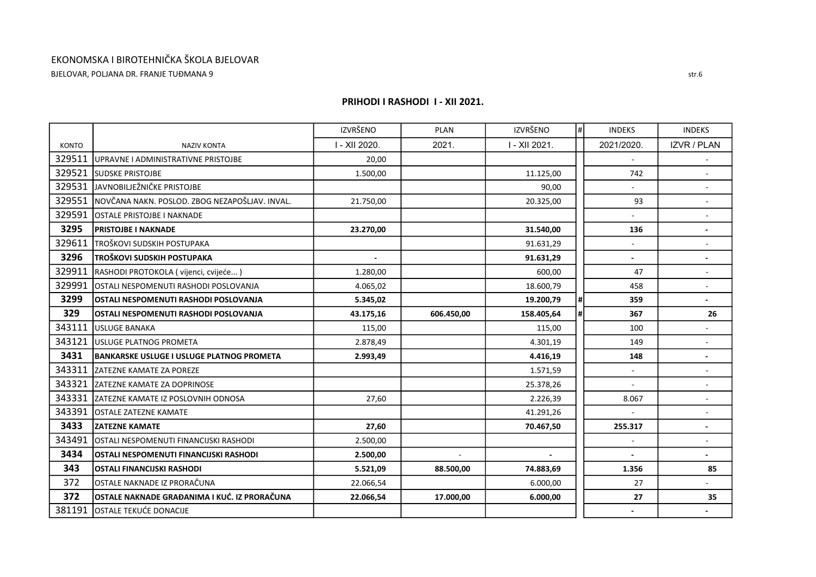BJELOVAR, POLJANA DR. FRANJE TUĐMANA 9

|              |                                                  | <b>IZVRŠENO</b> | <b>PLAN</b> | <b>IZVRŠENO</b> | $\sharp$ | <b>INDEKS</b> | <b>INDEKS</b>            |
|--------------|--------------------------------------------------|-----------------|-------------|-----------------|----------|---------------|--------------------------|
| <b>KONTO</b> | <b>NAZIV KONTA</b>                               | I - XII 2020.   | 2021.       | I - XII 2021.   |          | 2021/2020.    | <b>IZVR / PLAN</b>       |
| 329511       | UPRAVNE I ADMINISTRATIVNE PRISTOJBE              | 20,00           |             |                 |          |               |                          |
| 329521       | <b>SUDSKE PRISTOJBE</b>                          | 1.500,00        |             | 11.125,00       |          | 742           |                          |
| 329531       | JAVNOBILJEŽNIČKE PRISTOJBE                       |                 |             | 90,00           |          | ÷.            | ÷,                       |
| 329551       | NOVČANA NAKN. POSLOD. ZBOG NEZAPOŠLJAV. INVAL.   | 21.750,00       |             | 20.325,00       |          | 93            |                          |
| 329591       | OSTALE PRISTOJBE I NAKNADE                       |                 |             |                 |          |               |                          |
| 3295         | <b>PRISTOJBE I NAKNADE</b>                       | 23.270,00       |             | 31.540,00       |          | 136           | ٠                        |
| 329611       | ITROŠKOVI SUDSKIH POSTUPAKA                      |                 |             | 91.631,29       |          |               |                          |
| 3296         | TROŠKOVI SUDSKIH POSTUPAKA                       |                 |             | 91.631,29       |          |               |                          |
| 329911       | RASHODI PROTOKOLA (vijenci, cvijeće)             | 1.280,00        |             | 600,00          |          | 47            | $\overline{\phantom{a}}$ |
| 329991       | OSTALI NESPOMENUTI RASHODI POSLOVANJA            | 4.065,02        |             | 18.600,79       |          | 458           |                          |
| 3299         | OSTALI NESPOMENUTI RASHODI POSLOVANJA            | 5.345,02        |             | 19.200,79       | #I       | 359           | $\blacksquare$           |
| 329          | OSTALI NESPOMENUTI RASHODI POSLOVANJA            | 43.175,16       | 606.450,00  | 158.405,64      | #I       | 367           | 26                       |
| 343111       | <b>USLUGE BANAKA</b>                             | 115,00          |             | 115,00          |          | 100           |                          |
| 343121       | USLUGE PLATNOG PROMETA                           | 2.878,49        |             | 4.301,19        |          | 149           |                          |
| 3431         | <b>BANKARSKE USLUGE I USLUGE PLATNOG PROMETA</b> | 2.993,49        |             | 4.416,19        |          | 148           |                          |
| 343311       | <b>ZATEZNE KAMATE ZA POREZE</b>                  |                 |             | 1.571,59        |          |               | ä,                       |
| 343321       | <b>ZATEZNE KAMATE ZA DOPRINOSE</b>               |                 |             | 25.378,26       |          | $\sim$        | $\overline{\phantom{0}}$ |
| 343331       | <b>IZATEZNE KAMATE IZ POSLOVNIH ODNOSA</b>       | 27,60           |             | 2.226,39        |          | 8.067         |                          |
| 343391       | <b>OSTALE ZATEZNE KAMATE</b>                     |                 |             | 41.291,26       |          |               |                          |
| 3433         | <b>ZATEZNE KAMATE</b>                            | 27,60           |             | 70.467,50       |          | 255.317       | ٠                        |
| 343491       | OSTALI NESPOMENUTI FINANCIJSKI RASHODI           | 2.500,00        |             |                 |          |               |                          |
| 3434         | OSTALI NESPOMENUTI FINANCIJSKI RASHODI           | 2.500,00        | ÷.          | $\blacksquare$  |          |               |                          |
| 343          | <b>OSTALI FINANCIJSKI RASHODI</b>                | 5.521,09        | 88.500,00   | 74.883,69       |          | 1.356         | 85                       |
| 372          | OSTALE NAKNADE IZ PRORAČUNA                      | 22.066,54       |             | 6.000,00        |          | 27            | ÷.                       |
| 372          | OSTALE NAKNADE GRAĐANIMA I KUĆ. IZ PRORAČUNA     | 22.066,54       | 17.000,00   | 6.000,00        |          | 27            | 35                       |
| 381191       | OSTALE TEKUĆE DONACIJE                           |                 |             |                 |          |               |                          |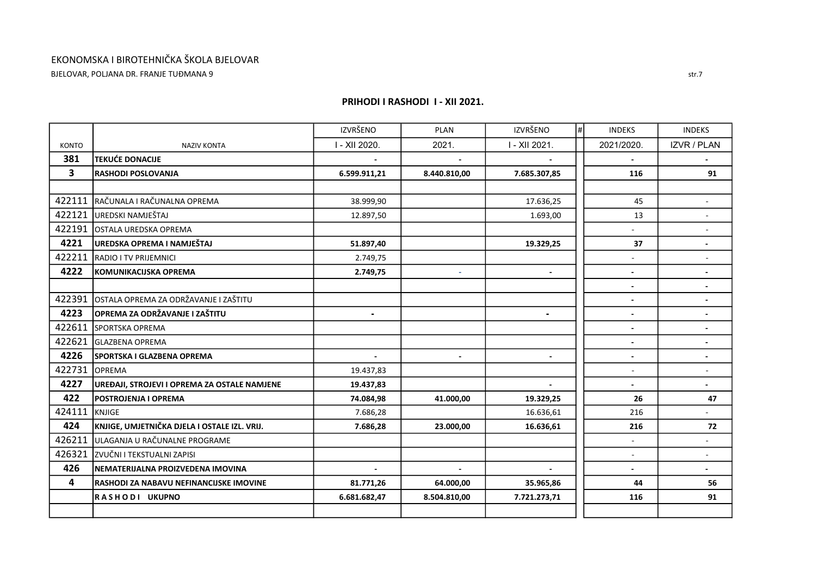BJELOVAR, POLJANA DR. FRANJE TUĐMANA 9

|                         |                                              | <b>IZVRŠENO</b>          | <b>PLAN</b>              | <b>IZVRŠENO</b> | $\vert \sharp \vert$ | <b>INDEKS</b>            | <b>INDEKS</b>      |
|-------------------------|----------------------------------------------|--------------------------|--------------------------|-----------------|----------------------|--------------------------|--------------------|
| <b>KONTO</b>            | <b>NAZIV KONTA</b>                           | I - XII 2020.            | 2021.                    | I - XII 2021.   |                      | 2021/2020.               | <b>IZVR / PLAN</b> |
| 381                     | <b>TEKUĆE DONACIJE</b>                       |                          |                          |                 |                      |                          |                    |
| $\overline{\mathbf{3}}$ | <b>RASHODI POSLOVANJA</b>                    | 6.599.911,21             | 8.440.810,00             | 7.685.307,85    |                      | 116                      | 91                 |
|                         |                                              |                          |                          |                 |                      |                          |                    |
| 422111                  | RAČUNALA I RAČUNALNA OPREMA                  | 38.999,90                |                          | 17.636,25       |                      | 45                       |                    |
| 422121                  | UREDSKI NAMJEŠTAJ                            | 12.897,50                |                          | 1.693,00        |                      | 13                       |                    |
| 422191                  | OSTALA UREDSKA OPREMA                        |                          |                          |                 |                      |                          |                    |
| 4221                    | UREDSKA OPREMA I NAMJEŠTAJ                   | 51.897,40                |                          | 19.329,25       |                      | 37                       |                    |
| 422211                  | <b>RADIO I TV PRIJEMNICI</b>                 | 2.749,75                 |                          |                 |                      |                          |                    |
| 4222                    | KOMUNIKACIJSKA OPREMA                        | 2.749,75                 | $\overline{\phantom{a}}$ |                 |                      | $\overline{\phantom{a}}$ |                    |
|                         |                                              |                          |                          |                 |                      | $\blacksquare$           |                    |
| 422391                  | OSTALA OPREMA ZA ODRŽAVANJE I ZAŠTITU        |                          |                          |                 |                      |                          |                    |
| 4223                    | OPREMA ZA ODRŽAVANJE I ZAŠTITU               | $\overline{\phantom{a}}$ |                          |                 |                      | $\overline{\phantom{a}}$ |                    |
| 422611                  | <b>SPORTSKA OPREMA</b>                       |                          |                          |                 |                      | $\blacksquare$           |                    |
| 422621                  | <b>GLAZBENA OPREMA</b>                       |                          |                          |                 |                      | $\blacksquare$           |                    |
| 4226                    | <b>SPORTSKA I GLAZBENA OPREMA</b>            |                          |                          |                 |                      | $\overline{\phantom{a}}$ |                    |
| 422731                  | <b>OPREMA</b>                                | 19.437,83                |                          |                 |                      | $\overline{\phantom{a}}$ |                    |
| 4227                    | UREĐAJI, STROJEVI I OPREMA ZA OSTALE NAMJENE | 19.437,83                |                          |                 |                      | $\blacksquare$           |                    |
| 422                     | POSTROJENJA I OPREMA                         | 74.084,98                | 41.000,00                | 19.329,25       |                      | 26                       | 47                 |
| 424111                  | KNJIGE                                       | 7.686,28                 |                          | 16.636,61       |                      | 216                      |                    |
| 424                     | KNJIGE, UMJETNIČKA DJELA I OSTALE IZL. VRIJ. | 7.686,28                 | 23.000,00                | 16.636,61       |                      | 216                      | 72                 |
| 426211                  | ULAGANJA U RAČUNALNE PROGRAME                |                          |                          |                 |                      |                          |                    |
| 426321                  | ZVUČNI I TEKSTUALNI ZAPISI                   |                          |                          |                 |                      |                          |                    |
| 426                     | NEMATERIJALNA PROIZVEDENA IMOVINA            |                          | $\sim$                   |                 |                      | $\blacksquare$           | $\sim$             |
| $\overline{\mathbf{4}}$ | RASHODI ZA NABAVU NEFINANCIJSKE IMOVINE      | 81.771,26                | 64.000,00                | 35.965,86       |                      | 44                       | 56                 |
|                         | RASHODI UKUPNO                               | 6.681.682,47             | 8.504.810,00             | 7.721.273,71    |                      | 116                      | 91                 |
|                         |                                              |                          |                          |                 |                      |                          |                    |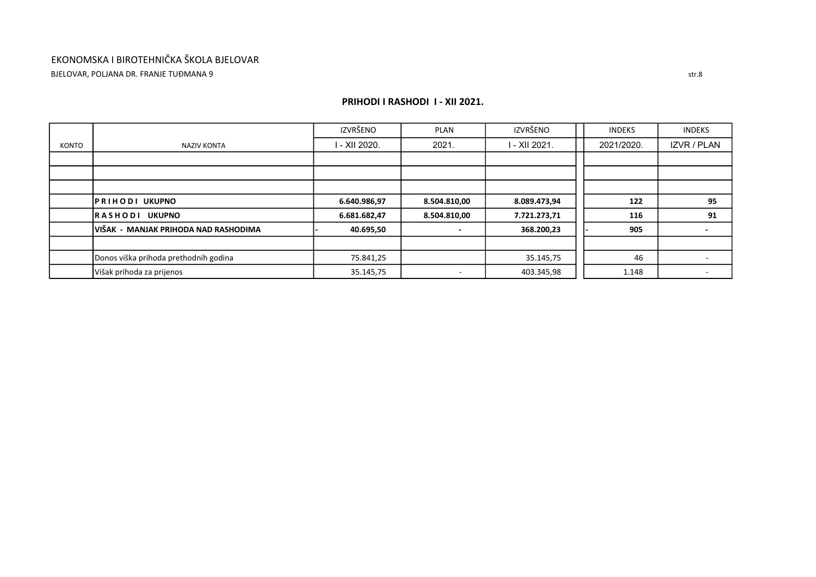## EKONOMSKA I BIROTEHNIČKA ŠKOLA BJELOVAR BJELOVAR, POLJANA DR. FRANJE TUĐMANA 9

#### PRIHODI I RASHODI I - XII 2021.

|       |                                       | IZVRŠENO      | <b>PLAN</b>  | IZVRŠENO      | <b>INDEKS</b> | <b>INDEKS</b> |
|-------|---------------------------------------|---------------|--------------|---------------|---------------|---------------|
| KONTO | <b>NAZIV KONTA</b>                    | I - XII 2020. | 2021         | I - XII 2021. | 2021/2020.    | IZVR / PLAN   |
|       |                                       |               |              |               |               |               |
|       |                                       |               |              |               |               |               |
|       |                                       |               |              |               |               |               |
|       | <b>PRIHODI UKUPNO</b>                 | 6.640.986,97  | 8.504.810,00 | 8.089.473,94  | 122           | 95            |
|       | <b>RASHODI UKUPNO</b>                 | 6.681.682,47  | 8.504.810,00 | 7.721.273,71  | 116           | 91            |
|       | IVIŠAK - MANJAK PRIHODA NAD RASHODIMA | 40.695,50     |              | 368.200,23    | 905           |               |
|       |                                       |               |              |               |               |               |
|       | Donos viška prihoda prethodnih godina | 75.841,25     |              | 35.145,75     | 46            |               |
|       | Višak prihoda za prijenos             | 35.145,75     |              | 403.345,98    | 1.148         |               |

str.8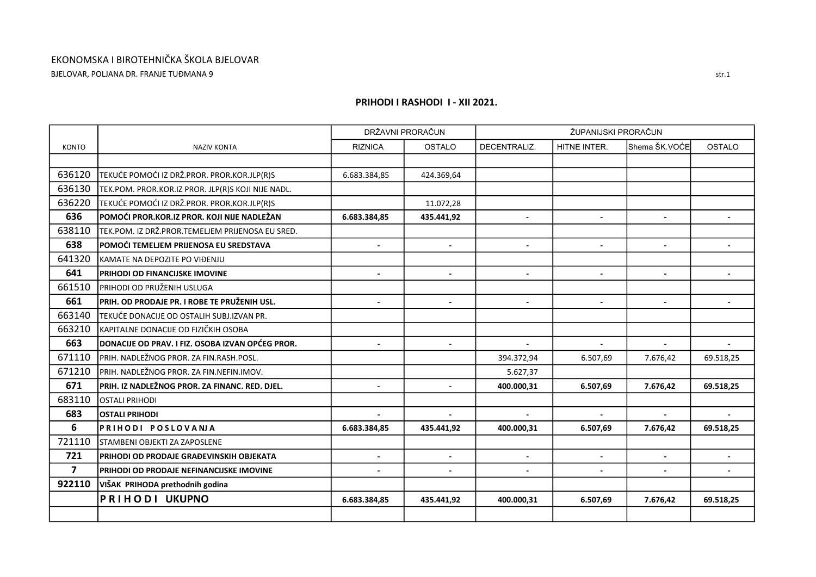BJELOVAR, POLJANA DR. FRANJE TUĐMANA 9

|                |                                                         |                | DRŽAVNI PRORAČUN |                | ŽUPANIJSKI PRORAČUN |                |               |
|----------------|---------------------------------------------------------|----------------|------------------|----------------|---------------------|----------------|---------------|
| <b>KONTO</b>   | <b>NAZIV KONTA</b>                                      | <b>RIZNICA</b> | OSTALO           | DECENTRALIZ.   | HITNE INTER.        | Shema ŠK.VOĆE  | <b>OSTALO</b> |
|                |                                                         |                |                  |                |                     |                |               |
| 636120         | TEKUĆE POMOĆI IZ DRŽ.PROR. PROR.KOR.JLP(R)S             | 6.683.384,85   | 424.369,64       |                |                     |                |               |
| 636130         | TEK.POM. PROR.KOR.IZ PROR. JLP(R)S KOJI NIJE NADL.      |                |                  |                |                     |                |               |
| 636220         | TEKUĆE POMOĆI IZ DRŽ.PROR. PROR.KOR.JLP(R)S             |                | 11.072,28        |                |                     |                |               |
| 636            | POMOĆI PROR.KOR.IZ PROR. KOJI NIJE NADLEŽAN             | 6.683.384,85   | 435.441,92       |                |                     |                |               |
| 638110         | TEK.POM. IZ DRŽ.PROR.TEMELJEM PRIJENOSA EU SRED.        |                |                  |                |                     |                |               |
| 638            | POMOĆI TEMELJEM PRIJENOSA EU SREDSTAVA                  |                |                  |                |                     |                |               |
| 641320         | KAMATE NA DEPOZITE PO VIĐENJU                           |                |                  |                |                     |                |               |
| 641            | PRIHODI OD FINANCIJSKE IMOVINE                          | $\blacksquare$ | $\blacksquare$   | $\blacksquare$ | $\blacksquare$      | $\sim$         |               |
| 661510         | PRIHODI OD PRUŽENIH USLUGA                              |                |                  |                |                     |                |               |
| 661            | PRIH. OD PRODAJE PR. I ROBE TE PRUŽENIH USL.            | $\blacksquare$ | $\blacksquare$   | $\blacksquare$ | $\blacksquare$      | $\mathbf{r}$   |               |
| 663140         | TEKUĆE DONACIJE OD OSTALIH SUBJ.IZVAN PR.               |                |                  |                |                     |                |               |
| 663210         | KAPITALNE DONACIJE OD FIZIČKIH OSOBA                    |                |                  |                |                     |                |               |
| 663            | <b>DONACIJE OD PRAV. I FIZ. OSOBA IZVAN OPĆEG PROR.</b> | $\overline{a}$ | $\overline{a}$   |                |                     |                |               |
| 671110         | PRIH. NADLEŽNOG PROR. ZA FIN.RASH.POSL.                 |                |                  | 394.372,94     | 6.507,69            | 7.676,42       | 69.518,25     |
| 671210         | PRIH. NADLEŽNOG PROR. ZA FIN.NEFIN.IMOV.                |                |                  | 5.627,37       |                     |                |               |
| 671            | PRIH. IZ NADLEŽNOG PROR. ZA FINANC. RED. DJEL.          | $\blacksquare$ | $\blacksquare$   | 400.000,31     | 6.507,69            | 7.676,42       | 69.518,25     |
| 683110         | OSTALI PRIHODI                                          |                |                  |                |                     |                |               |
| 683            | <b>OSTALI PRIHODI</b>                                   |                |                  |                |                     |                |               |
| 6              | PRIHODI POSLOVANJA                                      | 6.683.384,85   | 435.441,92       | 400.000,31     | 6.507,69            | 7.676,42       | 69.518,25     |
| 721110         | STAMBENI OBJEKTI ZA ZAPOSLENE                           |                |                  |                |                     |                |               |
| 721            | PRIHODI OD PRODAJE GRAĐEVINSKIH OBJEKATA                | $\blacksquare$ | $\blacksquare$   | $\blacksquare$ | $\blacksquare$      | $\blacksquare$ |               |
| $\overline{7}$ | PRIHODI OD PRODAJE NEFINANCIJSKE IMOVINE                |                |                  |                |                     |                |               |
| 922110         | VIŠAK PRIHODA prethodnih godina                         |                |                  |                |                     |                |               |
|                | <b>PRIHODI UKUPNO</b>                                   | 6.683.384,85   | 435.441,92       | 400.000,31     | 6.507,69            | 7.676,42       | 69.518,25     |
|                |                                                         |                |                  |                |                     |                |               |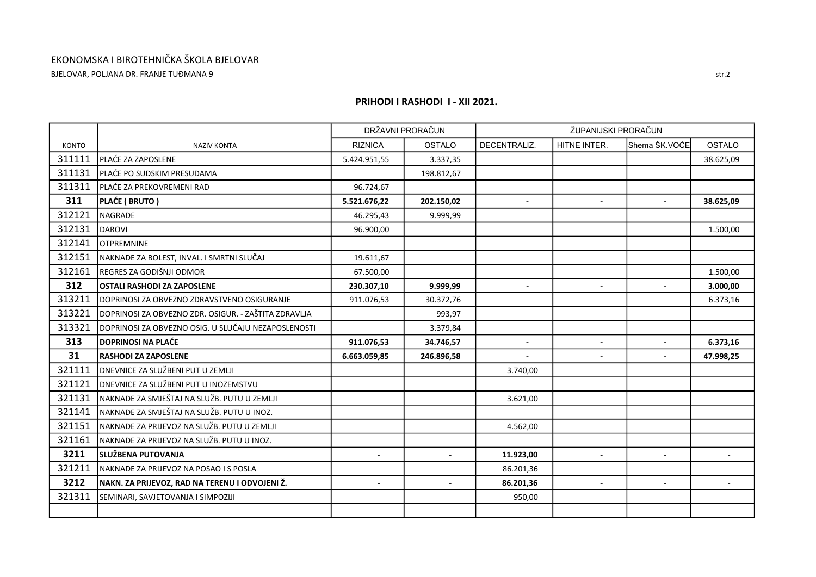BJELOVAR, POLJANA DR. FRANJE TUĐMANA 9

|              |                                                      |                | DRŽAVNI PRORAČUN |                | ŽUPANIJSKI PRORAČUN |                |               |
|--------------|------------------------------------------------------|----------------|------------------|----------------|---------------------|----------------|---------------|
| <b>KONTO</b> | <b>NAZIV KONTA</b>                                   | <b>RIZNICA</b> | <b>OSTALO</b>    | DECENTRALIZ.   | HITNE INTER.        | Shema ŠK.VOĆE  | <b>OSTALO</b> |
| 311111       | IPLAĆE ZA ZAPOSLENE                                  | 5.424.951,55   | 3.337,35         |                |                     |                | 38.625,09     |
| 311131       | PLAĆE PO SUDSKIM PRESUDAMA                           |                | 198.812,67       |                |                     |                |               |
| 311311       | PLAĆE ZA PREKOVREMENI RAD                            | 96.724,67      |                  |                |                     |                |               |
| 311          | PLAĆE (BRUTO)                                        | 5.521.676,22   | 202.150,02       |                |                     |                | 38.625,09     |
| 312121       | <b>NAGRADE</b>                                       | 46.295,43      | 9.999,99         |                |                     |                |               |
| 312131       | <b>DAROVI</b>                                        | 96.900,00      |                  |                |                     |                | 1.500,00      |
| 312141       | <b>OTPREMNINE</b>                                    |                |                  |                |                     |                |               |
| 312151       | NAKNADE ZA BOLEST, INVAL. I SMRTNI SLUČAJ            | 19.611,67      |                  |                |                     |                |               |
| 312161       | REGRES ZA GODIŠNJI ODMOR                             | 67.500,00      |                  |                |                     |                | 1.500,00      |
| 312          | <b>OSTALI RASHODI ZA ZAPOSLENE</b>                   | 230.307,10     | 9.999,99         |                |                     |                | 3.000,00      |
| 313211       | DOPRINOSI ZA OBVEZNO ZDRAVSTVENO OSIGURANJE          | 911.076,53     | 30.372,76        |                |                     |                | 6.373,16      |
| 313221       | DOPRINOSI ZA OBVEZNO ZDR. OSIGUR. - ZAŠTITA ZDRAVLJA |                | 993,97           |                |                     |                |               |
| 313321       | DOPRINOSI ZA OBVEZNO OSIG. U SLUČAJU NEZAPOSLENOSTI  |                | 3.379,84         |                |                     |                |               |
| 313          | <b>DOPRINOSI NA PLAĆE</b>                            | 911.076,53     | 34.746,57        | $\blacksquare$ |                     | $\blacksquare$ | 6.373,16      |
| 31           | <b>RASHODI ZA ZAPOSLENE</b>                          | 6.663.059,85   | 246.896,58       |                |                     |                | 47.998,25     |
| 321111       | <b>DNEVNICE ZA SLUŽBENI PUT U ZEMLJI</b>             |                |                  | 3.740,00       |                     |                |               |
| 321121       | IDNEVNICE ZA SLUŽBENI PUT U INOZEMSTVU               |                |                  |                |                     |                |               |
| 321131       | NAKNADE ZA SMJEŠTAJ NA SLUŽB. PUTU U ZEMLJI          |                |                  | 3.621,00       |                     |                |               |
| 321141       | NAKNADE ZA SMJEŠTAJ NA SLUŽB. PUTU U INOZ.           |                |                  |                |                     |                |               |
| 321151       | NAKNADE ZA PRIJEVOZ NA SLUŽB. PUTU U ZEMLJI          |                |                  | 4.562,00       |                     |                |               |
| 321161       | NAKNADE ZA PRIJEVOZ NA SLUŽB. PUTU U INOZ.           |                |                  |                |                     |                |               |
| 3211         | SLUŽBENA PUTOVANJA                                   |                | $\blacksquare$   | 11.923,00      | $\blacksquare$      |                |               |
| 321211       | NAKNADE ZA PRIJEVOZ NA POSAO I S POSLA               |                |                  | 86.201,36      |                     |                |               |
| 3212         | NAKN. ZA PRIJEVOZ, RAD NA TERENU I ODVOJENI Ž.       |                |                  | 86.201,36      |                     |                |               |
| 321311       | SEMINARI, SAVJETOVANJA I SIMPOZIJI                   |                |                  | 950,00         |                     |                |               |
|              |                                                      |                |                  |                |                     |                |               |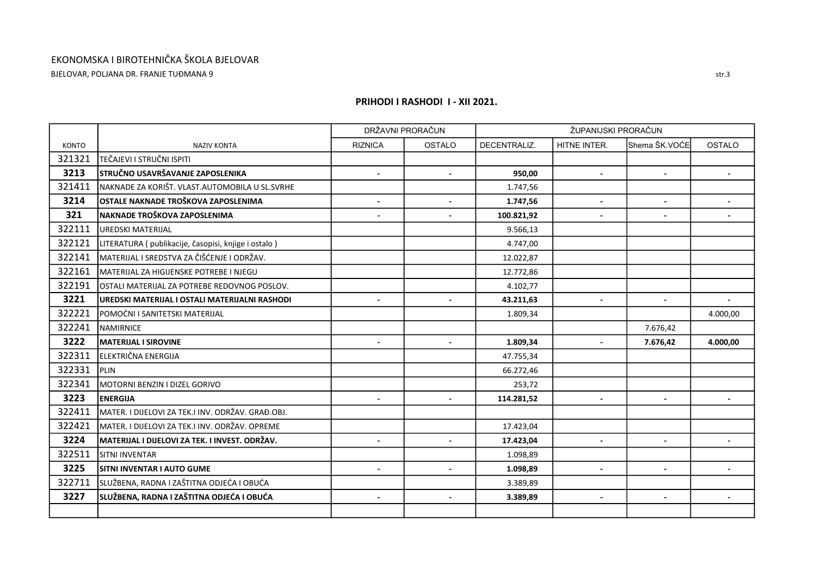BJELOVAR, POLJANA DR. FRANJE TUĐMANA 9

|              |                                                       |                | DRŽAVNI PRORAČUN |              | ŽUPANIJSKI PRORAČUN      |                |                          |
|--------------|-------------------------------------------------------|----------------|------------------|--------------|--------------------------|----------------|--------------------------|
| <b>KONTO</b> | <b>NAZIV KONTA</b>                                    | <b>RIZNICA</b> | <b>OSTALO</b>    | DECENTRALIZ. | HITNE INTER.             | Shema ŠK.VOĆE  | <b>OSTALO</b>            |
| 321321       | TEČAJEVI I STRUČNI ISPITI                             |                |                  |              |                          |                |                          |
| 3213         | <b>STRUČNO USAVRŠAVANJE ZAPOSLENIKA</b>               | $\blacksquare$ | $\blacksquare$   | 950,00       | $\blacksquare$           |                |                          |
| 321411       | NAKNADE ZA KORIŠT. VLAST.AUTOMOBILA U SL.SVRHE        |                |                  | 1.747,56     |                          |                |                          |
| 3214         | OSTALE NAKNADE TROŠKOVA ZAPOSLENIMA                   |                |                  | 1.747,56     |                          |                |                          |
| 321          | NAKNADE TROŠKOVA ZAPOSLENIMA                          |                |                  | 100.821,92   |                          |                |                          |
| 322111       | <b>UREDSKI MATERIJAL</b>                              |                |                  | 9.566,13     |                          |                |                          |
| 322121       | LITERATURA ( publikacije, časopisi, knjige i ostalo ) |                |                  | 4.747,00     |                          |                |                          |
| 322141       | MATERIJAL I SREDSTVA ZA ČIŠĆENJE I ODRŽAV.            |                |                  | 12.022,87    |                          |                |                          |
| 322161       | MATERIJAL ZA HIGIJENSKE POTREBE I NJEGU               |                |                  | 12.772,86    |                          |                |                          |
| 322191       | lOSTALI MATERIJAL ZA POTREBE REDOVNOG POSLOV.         |                |                  | 4.102,77     |                          |                |                          |
| 3221         | UREDSKI MATERIJAL I OSTALI MATERIJALNI RASHODI        | $\blacksquare$ |                  | 43.211,63    | $\blacksquare$           | $\blacksquare$ | $\blacksquare$           |
| 322221       | POMOĆNI I SANITETSKI MATERIJAL                        |                |                  | 1.809,34     |                          |                | 4.000,00                 |
| 322241       | <b>NAMIRNICE</b>                                      |                |                  |              |                          | 7.676,42       |                          |
| 3222         | <b>MATERIJAL I SIROVINE</b>                           | $\blacksquare$ | $\blacksquare$   | 1.809,34     |                          | 7.676,42       | 4.000,00                 |
| 322311       | ELEKTRIČNA ENERGIJA                                   |                |                  | 47.755,34    |                          |                |                          |
| 322331       | Ipi in                                                |                |                  | 66.272,46    |                          |                |                          |
| 322341       | MOTORNI BENZIN I DIZEL GORIVO                         |                |                  | 253,72       |                          |                |                          |
| 3223         | <b>ENERGIJA</b>                                       |                |                  | 114.281,52   |                          |                |                          |
| 322411       | MATER. I DIJELOVI ZA TEK.I INV. ODRŽAV. GRAĐ.OBJ.     |                |                  |              |                          |                |                          |
| 322421       | MATER. I DIJELOVI ZA TEK.I INV. ODRŽAV. OPREME        |                |                  | 17.423,04    |                          |                |                          |
| 3224         | MATERIJAL I DIJELOVI ZA TEK. I INVEST. ODRŽAV.        |                |                  | 17.423,04    |                          |                |                          |
| 322511       | <b>SITNI INVENTAR</b>                                 |                |                  | 1.098,89     |                          |                |                          |
| 3225         | <b>ISITNI INVENTAR I AUTO GUME</b>                    | $\blacksquare$ | $\blacksquare$   | 1.098,89     | $\blacksquare$           | $\blacksquare$ | $\overline{\phantom{a}}$ |
| 322711       | SLUŽBENA, RADNA I ZAŠTITNA ODJEĆA I OBUĆA             |                |                  | 3.389,89     |                          |                |                          |
| 3227         | SLUŽBENA, RADNA I ZAŠTITNA ODJEĆA I OBUĆA             |                |                  | 3.389,89     | $\overline{\phantom{a}}$ |                |                          |
|              |                                                       |                |                  |              |                          |                |                          |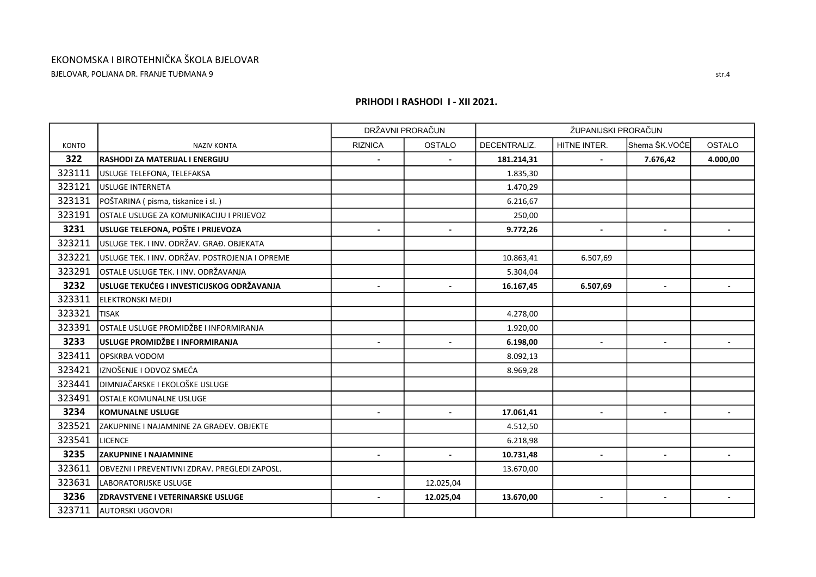BJELOVAR, POLJANA DR. FRANJE TUĐMANA 9

|              |                                                 |                          | DRŽAVNI PRORAČUN |              | ŽUPANIJSKI PRORAČUN      |                          |                          |
|--------------|-------------------------------------------------|--------------------------|------------------|--------------|--------------------------|--------------------------|--------------------------|
| <b>KONTO</b> | <b>NAZIV KONTA</b>                              | <b>RIZNICA</b>           | OSTALO           | DECENTRALIZ. | HITNE INTER.             | Shema ŠK.VOĆE            | <b>OSTALO</b>            |
| 322          | RASHODI ZA MATERIJAL I ENERGIJU                 | $\overline{\phantom{a}}$ |                  | 181.214,31   |                          | 7.676,42                 | 4.000,00                 |
| 323111       | USLUGE TELEFONA, TELEFAKSA                      |                          |                  | 1.835,30     |                          |                          |                          |
| 323121       | <b>USLUGE INTERNETA</b>                         |                          |                  | 1.470,29     |                          |                          |                          |
| 323131       | POŠTARINA (pisma, tiskanice i sl.)              |                          |                  | 6.216,67     |                          |                          |                          |
| 323191       | OSTALE USLUGE ZA KOMUNIKACIJU I PRIJEVOZ        |                          |                  | 250,00       |                          |                          |                          |
| 3231         | USLUGE TELEFONA, POŠTE I PRIJEVOZA              | $\blacksquare$           | $\blacksquare$   | 9.772,26     | $\blacksquare$           | $\overline{\phantom{a}}$ | $\blacksquare$           |
| 323211       | USLUGE TEK. I INV. ODRŽAV. GRAĐ. OBJEKATA       |                          |                  |              |                          |                          |                          |
| 323221       | USLUGE TEK. I INV. ODRŽAV. POSTROJENJA I OPREME |                          |                  | 10.863,41    | 6.507,69                 |                          |                          |
| 323291       | OSTALE USLUGE TEK. I INV. ODRŽAVANJA            |                          |                  | 5.304,04     |                          |                          |                          |
| 3232         | USLUGE TEKUĆEG I INVESTICIJSKOG ODRŽAVANJA      | $\blacksquare$           | $\overline{a}$   | 16.167,45    | 6.507,69                 | $\blacksquare$           |                          |
| 323311       | <b>IELEKTRONSKI MEDIJ</b>                       |                          |                  |              |                          |                          |                          |
| 323321       | <b>TISAK</b>                                    |                          |                  | 4.278,00     |                          |                          |                          |
| 323391       | OSTALE USLUGE PROMIDŽBE I INFORMIRANJA          |                          |                  | 1.920,00     |                          |                          |                          |
| 3233         | USLUGE PROMIDŽBE I INFORMIRANJA                 | $\blacksquare$           | $\blacksquare$   | 6.198,00     | $\blacksquare$           | $\blacksquare$           |                          |
| 323411       | OPSKRBA VODOM                                   |                          |                  | 8.092,13     |                          |                          |                          |
| 323421       | IZNOŠENJE I ODVOZ SMEĆA                         |                          |                  | 8.969,28     |                          |                          |                          |
| 323441       | DIMNJAČARSKE I EKOLOŠKE USLUGE                  |                          |                  |              |                          |                          |                          |
| 323491       | OSTALE KOMUNALNE USLUGE                         |                          |                  |              |                          |                          |                          |
| 3234         | <b>KOMUNALNE USLUGE</b>                         | $\blacksquare$           | $\blacksquare$   | 17.061,41    | $\blacksquare$           |                          |                          |
| 323521       | ZAKUPNINE I NAJAMNINE ZA GRAĐEV. OBJEKTE        |                          |                  | 4.512,50     |                          |                          |                          |
| 323541       | <b>LICENCE</b>                                  |                          |                  | 6.218,98     |                          |                          |                          |
| 3235         | <b>ZAKUPNINE I NAJAMNINE</b>                    |                          |                  | 10.731,48    | $\overline{\phantom{a}}$ |                          |                          |
| 323611       | OBVEZNI I PREVENTIVNI ZDRAV. PREGLEDI ZAPOSL.   |                          |                  | 13.670,00    |                          |                          |                          |
| 323631       | LABORATORIJSKE USLUGE                           |                          | 12.025,04        |              |                          |                          |                          |
| 3236         | <b>ZDRAVSTVENE I VETERINARSKE USLUGE</b>        | $\overline{\phantom{a}}$ | 12.025,04        | 13.670,00    | $\blacksquare$           | $\blacksquare$           | $\overline{\phantom{a}}$ |
| 323711       | AUTORSKI UGOVORI                                |                          |                  |              |                          |                          |                          |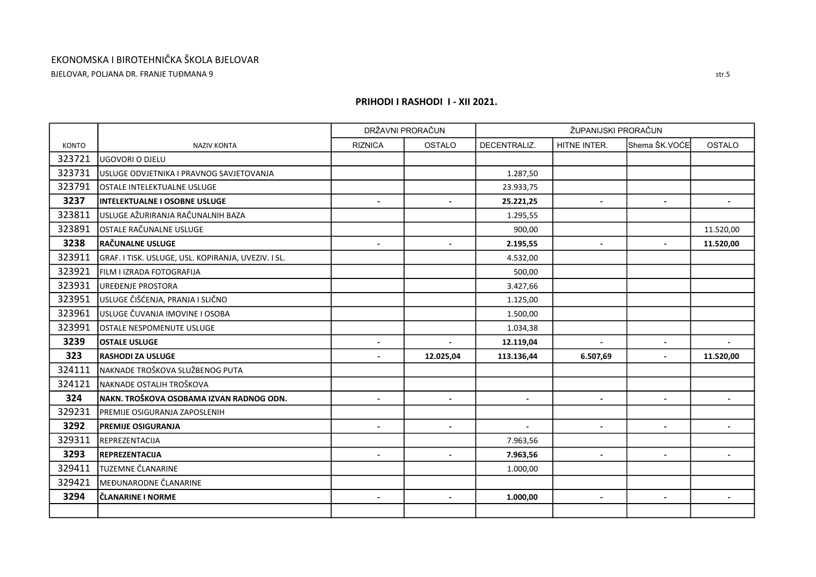BJELOVAR, POLJANA DR. FRANJE TUĐMANA 9

|              |                                                     |                          | DRŽAVNI PRORAČUN | ŽUPANIJSKI PRORAČUN      |                          |                |                |
|--------------|-----------------------------------------------------|--------------------------|------------------|--------------------------|--------------------------|----------------|----------------|
| <b>KONTO</b> | <b>NAZIV KONTA</b>                                  | <b>RIZNICA</b>           | <b>OSTALO</b>    | DECENTRALIZ.             | HITNE INTER.             | Shema ŠK.VOĆE  | <b>OSTALO</b>  |
| 323721       | <b>UGOVORI O DJELU</b>                              |                          |                  |                          |                          |                |                |
| 323731       | USLUGE ODVJETNIKA I PRAVNOG SAVJETOVANJA            |                          |                  | 1.287,50                 |                          |                |                |
| 323791       | OSTALE INTELEKTUALNE USLUGE                         |                          |                  | 23.933,75                |                          |                |                |
| 3237         | IINTELEKTUALNE I OSOBNE USLUGE                      | $\blacksquare$           |                  | 25.221,25                | $\blacksquare$           |                |                |
| 323811       | USLUGE AŽURIRANJA RAČUNALNIH BAZA                   |                          |                  | 1.295,55                 |                          |                |                |
| 323891       | OSTALE RAČUNALNE USLUGE                             |                          |                  | 900,00                   |                          |                | 11.520,00      |
| 3238         | <b>RAČUNALNE USLUGE</b>                             |                          |                  | 2.195,55                 |                          |                | 11.520,00      |
| 323911       | GRAF. I TISK. USLUGE, USL. KOPIRANJA, UVEZIV. I SL. |                          |                  | 4.532,00                 |                          |                |                |
| 323921       | FILM I IZRADA FOTOGRAFIJA                           |                          |                  | 500,00                   |                          |                |                |
| 323931       | UREĐENJE PROSTORA                                   |                          |                  | 3.427,66                 |                          |                |                |
| 323951       | USLUGE ČIŠĆENJA, PRANJA I SLIČNO                    |                          |                  | 1.125,00                 |                          |                |                |
| 323961       | USLUGE ČUVANJA IMOVINE I OSOBA                      |                          |                  | 1.500,00                 |                          |                |                |
| 323991       | OSTALE NESPOMENUTE USLUGE                           |                          |                  | 1.034,38                 |                          |                |                |
| 3239         | <b>lOSTALE USLUGE</b>                               | $\sim$                   | $\overline{a}$   | 12.119,04                | $\overline{a}$           | $\blacksquare$ |                |
| 323          | <b>RASHODI ZA USLUGE</b>                            |                          | 12.025,04        | 113.136,44               | 6.507,69                 |                | 11.520,00      |
| 324111       | NAKNADE TROŠKOVA SLUŽBENOG PUTA                     |                          |                  |                          |                          |                |                |
| 324121       | NAKNADE OSTALIH TROŠKOVA                            |                          |                  |                          |                          |                |                |
| 324          | NAKN. TROŠKOVA OSOBAMA IZVAN RADNOG ODN.            | $\overline{\phantom{a}}$ |                  | $\overline{\phantom{a}}$ |                          |                |                |
| 329231       | PREMIJE OSIGURANJA ZAPOSLENIH                       |                          |                  |                          |                          |                |                |
| 3292         | <b>PREMIJE OSIGURANJA</b>                           | $\blacksquare$           | $\blacksquare$   | $\sim$                   | $\blacksquare$           | $\blacksquare$ | $\blacksquare$ |
| 329311       | REPREZENTACIJA                                      |                          |                  | 7.963,56                 |                          |                |                |
| 3293         | REPREZENTACIJA                                      | $\overline{a}$           | $\blacksquare$   | 7.963,56                 | $\blacksquare$           | $\blacksquare$ |                |
| 329411       | TUZEMNE ČLANARINE                                   |                          |                  | 1.000,00                 |                          |                |                |
| 329421       | MEĐUNARODNE ČLANARINE                               |                          |                  |                          |                          |                |                |
| 3294         | ČLANARINE I NORME                                   |                          |                  | 1.000,00                 | $\overline{\phantom{a}}$ |                |                |
|              |                                                     |                          |                  |                          |                          |                |                |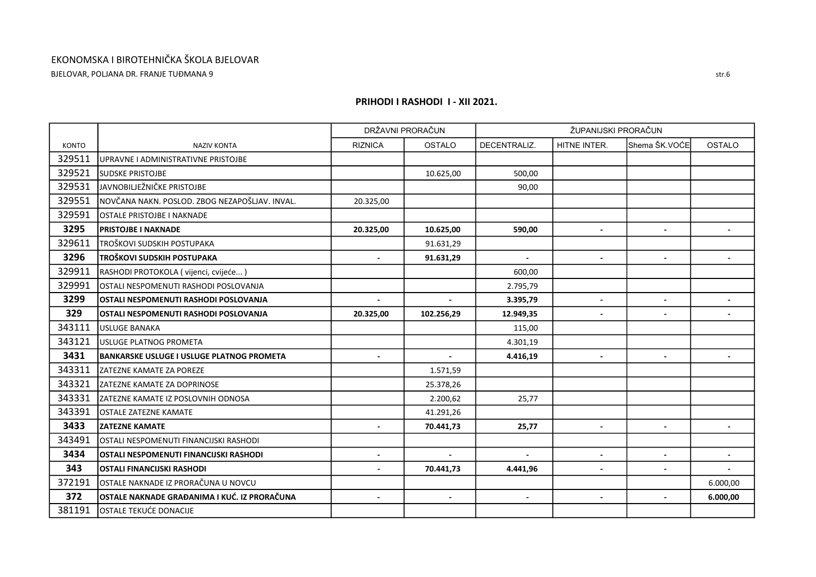BJELOVAR, POLJANA DR. FRANJE TUĐMANA 9

|              |                                                  |                           | DRŽAVNI PRORAČUN | ŽUPANIJSKI PRORAČUN |                          |                          |                          |  |
|--------------|--------------------------------------------------|---------------------------|------------------|---------------------|--------------------------|--------------------------|--------------------------|--|
| <b>KONTO</b> | <b>NAZIV KONTA</b>                               | <b>RIZNICA</b>            | <b>OSTALO</b>    | DECENTRALIZ.        | HITNE INTER.             | Shema ŠK.VOĆE            | <b>OSTALO</b>            |  |
| 329511       | UPRAVNE I ADMINISTRATIVNE PRISTOJBE              |                           |                  |                     |                          |                          |                          |  |
| 329521       | <b>SUDSKE PRISTOJBE</b>                          |                           | 10.625,00        | 500,00              |                          |                          |                          |  |
| 329531       | JAVNOBILJEŽNIČKE PRISTOJBE                       |                           |                  | 90,00               |                          |                          |                          |  |
| 329551       | NOVČANA NAKN. POSLOD. ZBOG NEZAPOŠLJAV. INVAL.   | 20.325,00                 |                  |                     |                          |                          |                          |  |
| 329591       | <b>OSTALE PRISTOJBE I NAKNADE</b>                |                           |                  |                     |                          |                          |                          |  |
| 3295         | <b>PRISTOJBE I NAKNADE</b>                       | 20.325,00                 | 10.625,00        | 590,00              | $\blacksquare$           | $\blacksquare$           | $\blacksquare$           |  |
| 329611       | TROŠKOVI SUDSKIH POSTUPAKA                       |                           | 91.631,29        |                     |                          |                          |                          |  |
| 3296         | TROŠKOVI SUDSKIH POSTUPAKA                       |                           | 91.631,29        | $\blacksquare$      | $\blacksquare$           | $\sim$                   |                          |  |
| 329911       | RASHODI PROTOKOLA (vijenci, cvijeće)             |                           |                  | 600,00              |                          |                          |                          |  |
| 329991       | OSTALI NESPOMENUTI RASHODI POSLOVANJA            |                           |                  | 2.795,79            |                          |                          |                          |  |
| 3299         | OSTALI NESPOMENUTI RASHODI POSLOVANJA            | $\mathbb{Z}^{\mathbb{Z}}$ | $\sim$           | 3.395,79            | $\blacksquare$           |                          |                          |  |
| 329          | OSTALI NESPOMENUTI RASHODI POSLOVANJA            | 20.325,00                 | 102.256,29       | 12.949,35           | $\blacksquare$           | $\blacksquare$           | $\blacksquare$           |  |
| 343111       | <b>USLUGE BANAKA</b>                             |                           |                  | 115,00              |                          |                          |                          |  |
| 343121       | USLUGE PLATNOG PROMETA                           |                           |                  | 4.301,19            |                          |                          |                          |  |
| 3431         | <b>BANKARSKE USLUGE I USLUGE PLATNOG PROMETA</b> | $\overline{\phantom{a}}$  | $\blacksquare$   | 4.416,19            | $\overline{\phantom{a}}$ | $\overline{\phantom{a}}$ | $\overline{\phantom{a}}$ |  |
| 343311       | <b>ZATEZNE KAMATE ZA POREZE</b>                  |                           | 1.571,59         |                     |                          |                          |                          |  |
| 343321       | IZATEZNE KAMATE ZA DOPRINOSE                     |                           | 25.378,26        |                     |                          |                          |                          |  |
| 343331       | ZATEZNE KAMATE IZ POSLOVNIH ODNOSA               |                           | 2.200,62         | 25,77               |                          |                          |                          |  |
| 343391       | lostale zatezne kamate                           |                           | 41.291,26        |                     |                          |                          |                          |  |
| 3433         | <b>ZATEZNE KAMATE</b>                            |                           | 70.441,73        | 25,77               | $\blacksquare$           | $\blacksquare$           |                          |  |
| 343491       | OSTALI NESPOMENUTI FINANCIJSKI RASHODI           |                           |                  |                     |                          |                          |                          |  |
| 3434         | OSTALI NESPOMENUTI FINANCIJSKI RASHODI           | $\overline{\phantom{a}}$  | $\blacksquare$   | $\blacksquare$      | $\blacksquare$           | $\sim$                   |                          |  |
| 343          | <b>OSTALI FINANCIJSKI RASHODI</b>                | $\blacksquare$            | 70.441,73        | 4.441,96            | $\blacksquare$           | $\blacksquare$           |                          |  |
| 372191       | OSTALE NAKNADE IZ PRORAČUNA U NOVCU              |                           |                  |                     |                          |                          | 6.000,00                 |  |
| 372          | OSTALE NAKNADE GRAĐANIMA I KUĆ. IZ PRORAČUNA     | $\blacksquare$            | $\blacksquare$   | $\blacksquare$      | $\blacksquare$           | $\blacksquare$           | 6.000,00                 |  |
| 381191       | OSTALE TEKUĆE DONACIJE                           |                           |                  |                     |                          |                          |                          |  |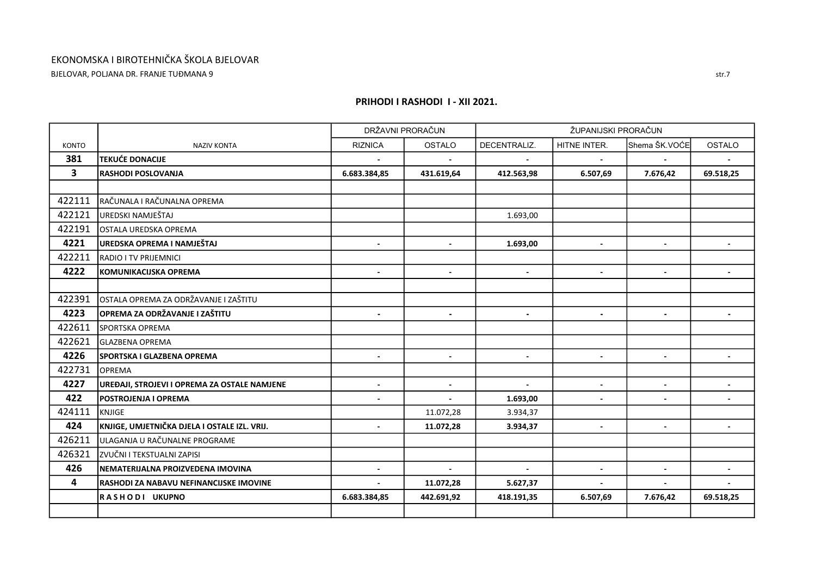BJELOVAR, POLJANA DR. FRANJE TUĐMANA 9

|                         |                                                 |                          | DRŽAVNI PRORAČUN | ŽUPANIJSKI PRORAČUN |                          |                |                |  |
|-------------------------|-------------------------------------------------|--------------------------|------------------|---------------------|--------------------------|----------------|----------------|--|
| <b>KONTO</b>            | <b>NAZIV KONTA</b>                              | <b>RIZNICA</b>           | <b>OSTALO</b>    | DECENTRALIZ.        | HITNE INTER.             | Shema ŠK.VOĆE  | <b>OSTALO</b>  |  |
| 381                     | <b>TEKUĆE DONACIJE</b>                          |                          |                  |                     |                          |                |                |  |
| $\overline{\mathbf{3}}$ | <b>RASHODI POSLOVANJA</b>                       | 6.683.384,85             | 431.619,64       | 412.563,98          | 6.507,69                 | 7.676,42       | 69.518,25      |  |
|                         |                                                 |                          |                  |                     |                          |                |                |  |
| 422111                  | RAČUNALA I RAČUNALNA OPREMA                     |                          |                  |                     |                          |                |                |  |
| 422121                  | UREDSKI NAMJEŠTAJ                               |                          |                  | 1.693,00            |                          |                |                |  |
| 422191                  | OSTALA UREDSKA OPREMA                           |                          |                  |                     |                          |                |                |  |
| 4221                    | UREDSKA OPREMA I NAMJEŠTAJ                      |                          |                  | 1.693,00            |                          |                |                |  |
| 422211                  | <b>RADIO I TV PRIJEMNICI</b>                    |                          |                  |                     |                          |                |                |  |
| 4222                    | <b>KOMUNIKACIJSKA OPREMA</b>                    | $\blacksquare$           | $\blacksquare$   | $\blacksquare$      | $\overline{\phantom{a}}$ | $\blacksquare$ |                |  |
|                         |                                                 |                          |                  |                     |                          |                |                |  |
| 422391                  | OSTALA OPREMA ZA ODRŽAVANJE I ZAŠTITU           |                          |                  |                     |                          |                |                |  |
| 4223                    | OPREMA ZA ODRŽAVANJE I ZAŠTITU                  | $\sim$                   | $\sim$           | $\sim$              | $\blacksquare$           | $\blacksquare$ | $\sim$         |  |
| 422611                  | SPORTSKA OPREMA                                 |                          |                  |                     |                          |                |                |  |
| 422621                  | <b>GLAZBENA OPREMA</b>                          |                          |                  |                     |                          |                |                |  |
| 4226                    | SPORTSKA I GLAZBENA OPREMA                      | $\blacksquare$           | $\blacksquare$   | $\blacksquare$      | $\overline{\phantom{a}}$ | $\blacksquare$ |                |  |
| 422731                  | OPREMA                                          |                          |                  |                     |                          |                |                |  |
| 4227                    | UREĐAJI, STROJEVI I OPREMA ZA OSTALE NAMJENE    | $\overline{a}$           | $\blacksquare$   | $\sim$              |                          | $\sim$         |                |  |
| 422                     | <b>POSTROJENJA I OPREMA</b>                     | $\overline{\phantom{a}}$ |                  | 1.693,00            |                          |                |                |  |
| 424111                  | KNJIGE                                          |                          | 11.072,28        | 3.934,37            |                          |                |                |  |
| 424                     | KNJIGE, UMJETNIČKA DJELA I OSTALE IZL. VRIJ.    | $\blacksquare$           | 11.072,28        | 3.934,37            | $\blacksquare$           | $\blacksquare$ | $\blacksquare$ |  |
| 426211                  | ULAGANJA U RAČUNALNE PROGRAME                   |                          |                  |                     |                          |                |                |  |
| 426321                  | ZVUČNI I TEKSTUALNI ZAPISI                      |                          |                  |                     |                          |                |                |  |
| 426                     | NEMATERIJALNA PROIZVEDENA IMOVINA               | $\blacksquare$           | $\blacksquare$   | $\sim$              | $\blacksquare$           | $\blacksquare$ | $\blacksquare$ |  |
| $\overline{\mathbf{4}}$ | <b>IRASHODI ZA NABAVU NEFINANCIJSKE IMOVINE</b> |                          | 11.072,28        | 5.627,37            |                          |                |                |  |
|                         | RASHODI UKUPNO                                  | 6.683.384,85             | 442.691,92       | 418.191,35          | 6.507,69                 | 7.676,42       | 69.518,25      |  |
|                         |                                                 |                          |                  |                     |                          |                |                |  |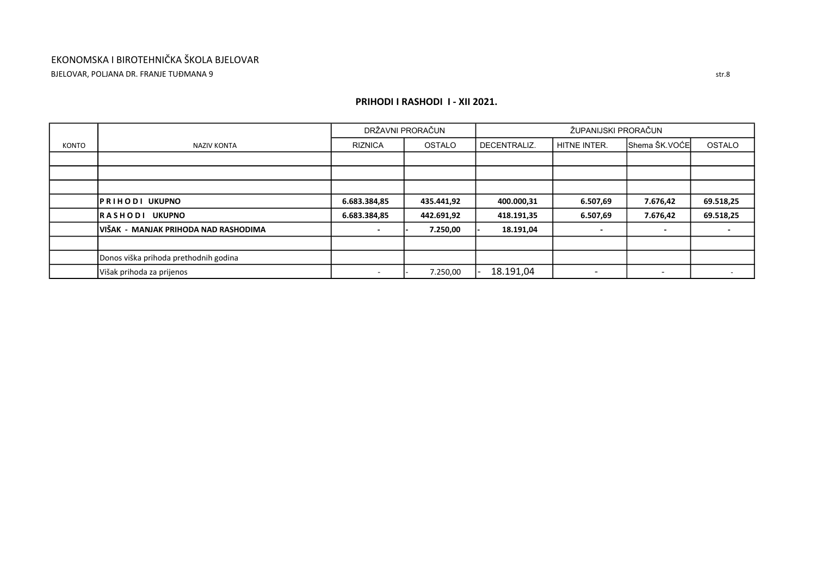## EKONOMSKA I BIROTEHNIČKA ŠKOLA BJELOVAR BJELOVAR, POLJANA DR. FRANJE TUĐMANA 9

|       |                                       |                          | DRŽAVNI PRORAČUN |              | ŽUPANIJSKI PRORAČUN      |                          |                          |  |  |  |  |
|-------|---------------------------------------|--------------------------|------------------|--------------|--------------------------|--------------------------|--------------------------|--|--|--|--|
| KONTO | NAZIV KONTA                           | <b>RIZNICA</b>           | <b>OSTALO</b>    | DECENTRALIZ. | HITNE INTER.             | Shema ŠK.VOĆE            | OSTALO                   |  |  |  |  |
|       |                                       |                          |                  |              |                          |                          |                          |  |  |  |  |
|       |                                       |                          |                  |              |                          |                          |                          |  |  |  |  |
|       |                                       |                          |                  |              |                          |                          |                          |  |  |  |  |
|       | <b>PRIHODI UKUPNO</b>                 | 6.683.384,85             | 435.441,92       | 400.000,31   | 6.507,69                 | 7.676,42                 | 69.518,25                |  |  |  |  |
|       | <b>UKUPNO</b><br>RASHODI              | 6.683.384,85             | 442.691,92       | 418.191,35   | 6.507,69                 | 7.676,42                 | 69.518,25                |  |  |  |  |
|       | IVIŠAK - MANJAK PRIHODA NAD RASHODIMA |                          | 7.250,00         | 18.191,04    | $\overline{\phantom{a}}$ | $\overline{\phantom{a}}$ |                          |  |  |  |  |
|       |                                       |                          |                  |              |                          |                          |                          |  |  |  |  |
|       | Donos viška prihoda prethodnih godina |                          |                  |              |                          |                          |                          |  |  |  |  |
|       | Višak prihoda za prijenos             | $\overline{\phantom{0}}$ | 7.250,00         | 18.191,04    | $\overline{\phantom{0}}$ | -                        | $\overline{\phantom{0}}$ |  |  |  |  |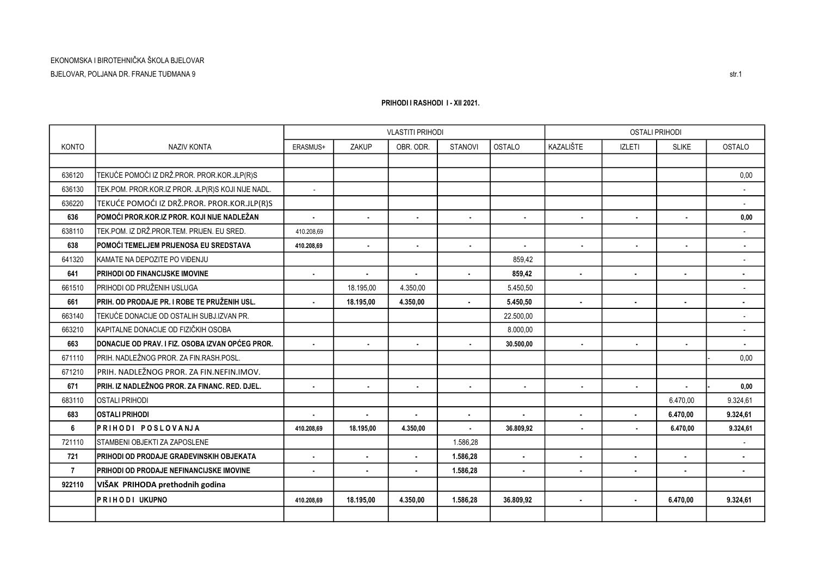|                |                                                          |                |                | <b>VLASTITI PRIHODI</b> |                |                | <b>OSTALI PRIHODI</b> |                |                |                |
|----------------|----------------------------------------------------------|----------------|----------------|-------------------------|----------------|----------------|-----------------------|----------------|----------------|----------------|
| <b>KONTO</b>   | <b>NAZIV KONTA</b>                                       | ERASMUS+       | ZAKUP          | OBR. ODR.               | <b>STANOVI</b> | OSTALO         | KAZALIŠTE             | <b>IZLETI</b>  | <b>SLIKE</b>   | <b>OSTALO</b>  |
|                |                                                          |                |                |                         |                |                |                       |                |                |                |
| 636120         | TEKUĆE POMOĆI IZ DRŽ.PROR. PROR.KOR.JLP(R)S              |                |                |                         |                |                |                       |                |                | 0.00           |
| 636130         | TEK.POM. PROR.KOR.IZ PROR. JLP(R)S KOJI NIJE NADL.       | $\sim$         |                |                         |                |                |                       |                |                |                |
| 636220         | TEKUĆE POMOĆI IZ DRŽ.PROR. PROR.KOR.JLP(R)S              |                |                |                         |                |                |                       |                |                |                |
| 636            | IPOMOĆI PROR KOR IZ PROR. KOJI NIJE NADLEŽAN             | $\blacksquare$ | $\blacksquare$ | $\blacksquare$          | $\blacksquare$ | $\blacksquare$ | $\blacksquare$        | $\blacksquare$ |                | 0,00           |
| 638110         | TEK.POM. IZ DRŽ.PROR.TEM. PRIJEN. EU SRED.               | 410.208.69     |                |                         |                |                |                       |                |                |                |
| 638            | POMOĆI TEMELJEM PRIJENOSA EU SREDSTAVA                   | 410.208.69     | $\blacksquare$ | $\blacksquare$          | $\blacksquare$ | $\blacksquare$ | $\blacksquare$        | $\blacksquare$ |                | $\blacksquare$ |
| 641320         | KAMATE NA DEPOZITE PO VIĐENJU                            |                |                |                         |                | 859,42         |                       |                |                |                |
| 641            | <b>PRIHODI OD FINANCIJSKE IMOVINE</b>                    | $\blacksquare$ |                |                         | $\blacksquare$ | 859,42         | $\bullet$             |                | $\blacksquare$ | $\blacksquare$ |
| 661510         | PRIHODI OD PRUŽENIH USLUGA                               |                | 18.195,00      | 4.350,00                |                | 5.450,50       |                       |                |                |                |
| 661            | IPRIH. OD PRODAJE PR. I ROBE TE PRUŽENIH USL.            | ÷.             | 18.195,00      | 4.350,00                | $\mathbf{r}$   | 5.450,50       | $\blacksquare$        | $\blacksquare$ | $\blacksquare$ | $\blacksquare$ |
| 663140         | TEKUĆE DONACIJE OD OSTALIH SUBJ.IZVAN PR.                |                |                |                         |                | 22.500,00      |                       |                |                |                |
| 663210         | KAPITALNE DONACIJE OD FIZIČKIH OSOBA                     |                |                |                         |                | 8.000.00       |                       |                |                |                |
| 663            | <b>IDONACIJE OD PRAV. I FIZ. OSOBA IZVAN OPĆEG PROR.</b> | $\blacksquare$ | $\blacksquare$ | $\blacksquare$          | $\blacksquare$ | 30.500,00      | $\blacksquare$        | $\blacksquare$ | $\blacksquare$ | $\blacksquare$ |
| 671110         | PRIH. NADLEŽNOG PROR. ZA FIN.RASH.POSL.                  |                |                |                         |                |                |                       |                |                | 0.00           |
| 671210         | PRIH. NADLEŽNOG PROR. ZA FIN.NEFIN.IMOV.                 |                |                |                         |                |                |                       |                |                |                |
| 671            | PRIH. IZ NADLEŽNOG PROR. ZA FINANC. RED. DJEL.           | $\blacksquare$ | $\blacksquare$ | $\blacksquare$          | $\blacksquare$ | $\blacksquare$ | $\blacksquare$        | $\blacksquare$ |                | 0.00           |
| 683110         | <b>OSTALI PRIHODI</b>                                    |                |                |                         |                |                |                       |                | 6.470,00       | 9.324,61       |
| 683            | <b>OSTALI PRIHODI</b>                                    | $\blacksquare$ | $\mathbf{r}$   | ä.                      | $\bullet$      |                |                       | $\mathbf{r}$   | 6.470.00       | 9.324.61       |
| 6              | PRIHODI POSLOVANJA                                       | 410.208,69     | 18.195,00      | 4.350,00                | ÷.             | 36.809,92      | $\blacksquare$        | $\mathbf{r}$   | 6.470,00       | 9.324,61       |
| 721110         | <b>STAMBENI OBJEKTI ZA ZAPOSLENE</b>                     |                |                |                         | 1.586.28       |                |                       |                |                |                |
| 721            | <b>PRIHODI OD PRODAJE GRAĐEVINSKIH OBJEKATA</b>          | $\blacksquare$ | $\blacksquare$ | $\blacksquare$          | 1.586.28       |                | $\blacksquare$        | $\blacksquare$ | $\blacksquare$ | $\blacksquare$ |
| $\overline{7}$ | <b>IPRIHODI OD PRODAJE NEFINANCIJSKE IMOVINE</b>         | $\blacksquare$ | $\blacksquare$ | $\blacksquare$          | 1.586,28       | $\sim$         | $\blacksquare$        | $\blacksquare$ | $\blacksquare$ | $\blacksquare$ |
| 922110         | VIŠAK PRIHODA prethodnih godina                          |                |                |                         |                |                |                       |                |                |                |
|                | <b>PRIHODI UKUPNO</b>                                    | 410.208.69     | 18.195.00      | 4.350.00                | 1.586.28       | 36.809.92      | $\blacksquare$        |                | 6.470.00       | 9.324.61       |
|                |                                                          |                |                |                         |                |                |                       |                |                |                |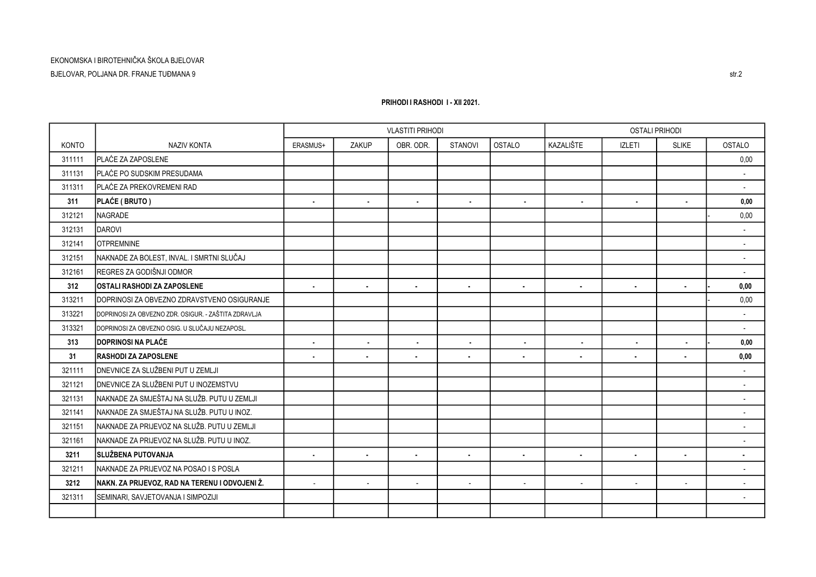KONTO NAZIV KONTA ERASMUS+ ZAKUP OBR. ODR. STANOVI OSTALO KAZALIŠTE IZLETI SLIKE OSTALO 311111 PLAĆE ZA ZAPOSLENE 0,00 311131 PLAĆE PO SUDSKIM PRESUDAMA - 311311 PLAĆE ZA PREKOVREMENI RAD - 311 PLAĆE ( BRUTO ) - - - - - - - - 0,00 312121 NAGRADE 0,00 - 312131 DAROVI - 312141 OTPREMNINE - 312151 NAKNADE ZA BOLEST. INVAL. I SMRTNI SLUČAJ DO JEDOVINA JE NAKOV JE NAKOV JE NAKOV SLOVENOM SLUČAJ DO JEDOVINA JE NAKOV SLUČAJ DO JE NAKOV SLUČAJ DO JE NAKOV SLUČAJ DO JE NAKOV SLUČAJ S VROJ SLUČAJ DO JE NAKOV SLUČAJ 312161 REGRES ZA GODIŠNJI ODMOR - 312 OSTALI RASHODI ZA ZAPOSLENE - - - - - - - - 0,00 - 313211 DOPRINOSI ZA OBVEZNO ZDRAVSTVENO OSIGURANJE 0,00 - 313221 DOPRINOSI ZA OBVEZNO ZDR. OSIGUR. - ZAŠTITA ZDRAVLJA - 313321 DOPRINOSI ZA OBVEZNO OSIG. U SLUČAJU NEZAPOSL. - 313 DOPRINOSI NA PLAĆE - - - - - - - - 0,00 - 31 RASHODI ZA ZAPOSLENE - - - - - - - - 0,00 321111 DNEVNICE ZA SLUŽBENI PUT U ZEMLJI - 321121 DNEVNICE ZA SLUŽBENI PUT U INOZEMSTVU - 321131 NAKNADE ZA SMJEŠTAJ NA SLUŽB. PUTU U ZEMLJI - 321141 NAKNADE ZA SMJEŠTAJ NA SLUŽB. PUTU U INOZ. - 321151 NAKNADE ZA PRIJEVOZ NA SLUŽB. PUTU U ZEMLJI - 321161 NAKNADE ZA PRIJEVOZ NA SLUŽB. PUTU U INOZ. - 3211 SLUŽBENA PUTOVANJA - - - - - - - - - 321211 NAKNADE ZA PRIJEVOZ NA POSAO I S POSLA - 3212 NAKN. ZA PRIJEVOZ, RAD NA TERENU I ODVOJENI Ž. - - - - - - - - - 321311 SEMINARI, SAVJETOVANJA I SIMPOZIJI - VLASTITI PRIHODI OSTALI PRIHODI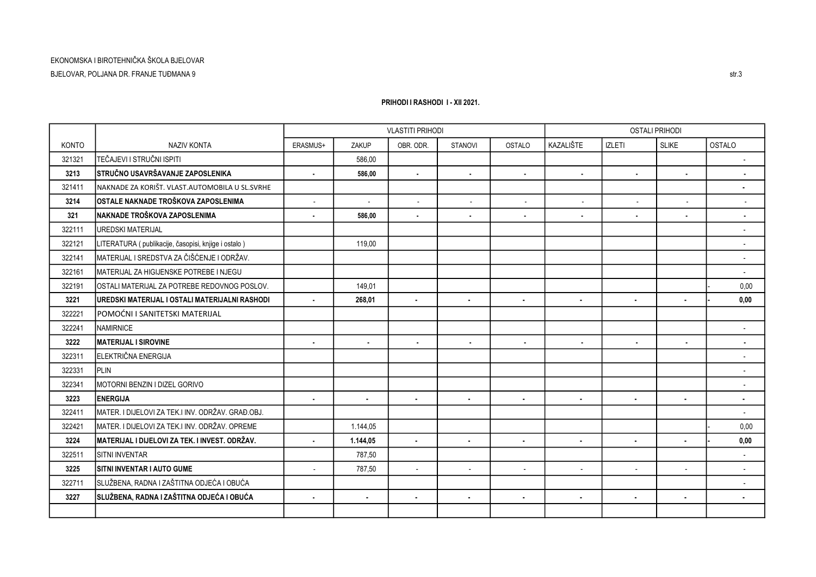## KONTO NAZIV KONTA ERASMUS+ ZAKUP OBR. ODR. STANOVI OSTALO KAZALIŠTE IZLETI SLIKE OSTALO 321321 TEČAJEVI I STRUČNI ISPITI 586,00 - 3213 STRUČNO USAVRŠAVANJE ZAPOSLENIKA 586,00 - - - - - - - - 321411 NAKNADE ZA KORIŠT. VLAST.AUTOMOBILA U SL.SVRHE - 3214 OSTALE NAKNADE TROŠKOVA ZAPOSLENIMA - - - - - - - - - 321 NAKNADE TROŠKOVA ZAPOSLENIMA 586,00 - - - - - - - - 322111 UREDSKI MATERIJAL - 322121 LITERATURA ( publikacije, časopisi, knjige i ostalo ) 119,00 - 322141 MATERIJAL I SREDSTVA ZA ČIŠĆENJE I ODRŽAV. - 322161 MATERIJAL ZA HIGIJENSKE POTREBE I NJEGU - 322191 OSTALI MATERIJAL ZA POTREBE REDOVNOG POSLOV. 149,01 0,00 - 3221 UREDSKI MATERIJAL I OSTALI MATERIJALNI RASHODI - - 268,01 - - - - - 0,00 - 322221 POMOĆNI I SANITETSKI MATERIJAL 322241 NAMIRNICE PARAMIRO PRODUCER PRODUCER IN THE RESERVE OF THE PRODUCER IN THE RESERVE OF THE RESERVE OF TH 3222 MATERIJAL I SIROVINE - - - - - - - - - 322311 ELEKTRIČNA ENERGIJA - 322331 PLIN PLIN PLAN - PLAN - PLAN - PLAN - PLAN - PLAN - PLAN - PLAN - PLAN - PLAN - PLAN - PLAN - PLAN - PL 322341 MOTORNI BENZIN I DIZEL GORIVO - 3223 ENERGIJA - - - - - - - - - 322411 MATER. I DIJELOVI ZA TEK.I INV. ODRŽAV. GRAĐ.OBJ. - 322421 IMATER.I DIJELOVI ZA TEK.I INV. ODRŽAV. OPREME 1. 1.144.05 1. 1.144.05 1. ISLANDIJELOVI ZA TEK.I INV. ODRŽAV. OPREME 1. ISLANDIJELOVI ZA TEK.I INV. ODRŽAV. OPREME 1. ISLANDIJELOVI ZA TEK.I INV. ODRŽAV. OPREME 1. ISL 3224 MATERIJAL I DIJELOVI ZA TEK. I INVEST. ODRŽAV. - - 1.144,05 - - - - - 0,00 - 322511 SITNI INVENTAR 787,50 - 3225 SITNI INVENTAR I AUTO GUME - - 787,50 - - - - - - 322711 SLUŽBENA, RADNA I ZAŠTITNA ODJEĆA I OBUĆA - 3227 SLUŽBENA, RADNA I ZAŠTITNA ODJEĆA I OBUĆA - - - - - - - - - VLASTITI PRIHODI OSTALI PRIHODI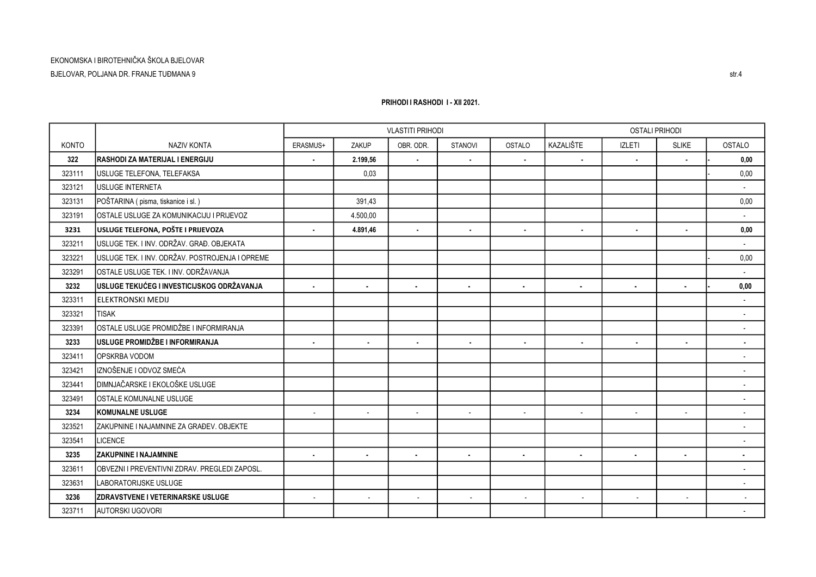## KONTO NAZIV KONTA ERASMUS+ ZAKUP OBR. ODR. STANOVI OSTALO KAZALIŠTE IZLETI SLIKE OSTALO 322 RASHODI ZA MATERIJAL I ENERGIJU 2.199,56 - - - - - - - 0,00 - 323111 USLUGE TELEFONA, TELEFAKSA 0,03 0,00 - 323121 USLUGE INTERNETA - 323131 POŠTARINA ( pisma, tiskanice i sl. ) 391,43 0,00 323191 OSTALE USLUGE ZA KOMUNIKACIJU I PRIJEVOZ 4.500,00 - 3231 USLUGE TELEFONA, POŠTE I PRIJEVOZA 4.891,46 - - - - - - - 0,00 323211 USLUGE TEK. I INV. ODRŽAV. GRAĐ. OBJEKATA - 323221 USLUGE TEK. I INV. ODRŽAV. POSTROJENJA I OPREME 0,00 - 323291 OSTALE USLUGE TEK. I INV. ODRŽAVANJA - 3232 USLUGE TEKUĆEG I INVESTICIJSKOG ODRŽAVANJA - - - - - - - - 0,00 - 323311 ELEKTRONSKI MEDIJ - 323321 TISAK - 323391 OSTALE USLUGE PROMIDŽBE I INFORMIRANJA - 3233 USLUGE PROMIDŽBE I INFORMIRANJA - - - - - - - - - 323411 OPSKRBA VODOM - 323421 IZNOŠENJE I ODVOZ SMEĆA - 323441 DIMNJAČARSKE I EKOLOŠKE USLUGE - 323491 OSTALE KOMUNALNE USLUGE - 3234 KOMUNALNE USLUGE - - - - - - - - - 323521 ZAKUPNINE I NAJAMNINE ZA GRAĐEV. OBJEKTE - 323541 LICENCE - 3235 ZAKUPNINE I NAJAMNINE - - - - - - - - - 323611 OBVEZNI I PREVENTIVNI ZDRAV. PREGLEDI ZAPOSL. - 323631 LABORATORIJSKE USLUGE - 3236 ZDRAVSTVENE I VETERINARSKE USLUGE - - - - - - - - - 323711 AUTORSKI UGOVORI - VLASTITI PRIHODI OSTALI PRIHODI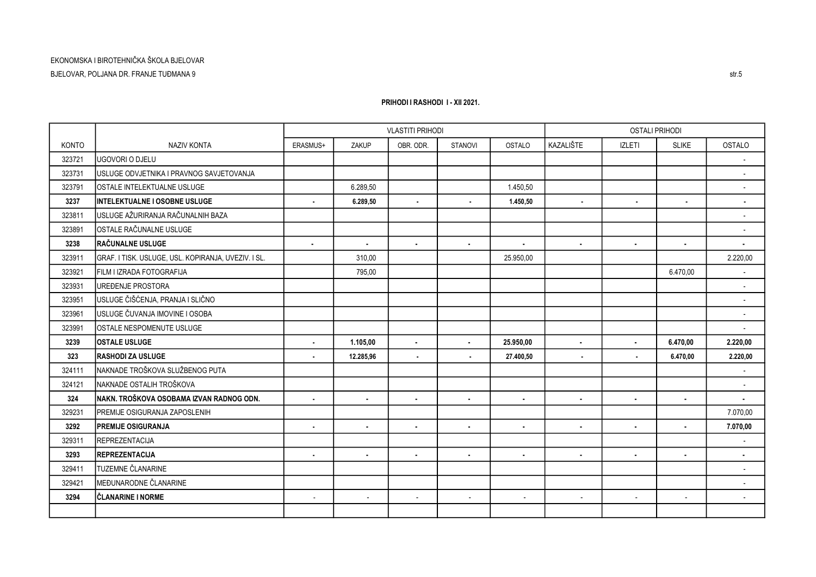## KONTO NAZIV KONTA ERASMUS+ ZAKUP OBR. ODR. STANOVI OSTALO KAZALIŠTE IZLETI SLIKE OSTALO 323721 UGOVORI O DJELU - 323731 USLUGE ODVJETNIKA I PRAVNOG SAVJETOVANJA - 323791 OSTALE INTELEKTUALNE USLUGE 6.289,50 1.450,50 - 3237 INTELEKTUALNE I OSOBNE USLUGE | | 6.289.50 | | | | | - | - | 323811 USLUGE AŽURIRANJA RAČUNALNIH BAZA - 323891 OSTALE RAČUNALNE USLUGE - 3238 RAČUNALNE USLUGE - - - - - - - - - 323911 GRAF. I TISK. USLUGE, USL. KOPIRANJA, UVEZIV. I SL. 310,00 25.950,00 2.220,00 323921 FILM I IZRADA FOTOGRAFIJA 795,00 6.470,00 - 323931 UREĐENJE PROSTORA - 323951 USLUGE ČIŠĆENJA, PRANJA I SLIČNO - 323961 USLUGE ČUVANJA IMOVINE I OSOBA - 323991 OSTALE NESPOMENUTE USLUGE - 3239 OSTALE USLUGE - - 1.105,00 - 25.950,00 - - 6.470,00 2.220,00 323 RASHODI ZA USLUGE 12.285,96 - - - 27.400,50 - - 6.470,00 2.220,00 324111 NAKNADE TROŠKOVA SLUŽBENOG PUTA - 324121 NAKNADE OSTALIH TROŠKOVA - 324 NAKN. TROŠKOVA OSOBAMA IZVAN RADNOG ODN. - - - - - - - - - 329231 PREMIJE OSIGURANJA ZAPOSLENIH 7.070,00 3292 PREMIJE OSIGURANJA - - - - - - - - 7.070,00 329311 REPREZENTACIJA - 3293 REPREZENTACIJA - - - - - - - - - 329411 TUZEMNE ČLANARINE - 329421 MEĐUNARODNE ČLANARINE - 3294 ČLANARINE I NORME - - - - - - - - - VLASTITI PRIHODI OSTALI PRIHODI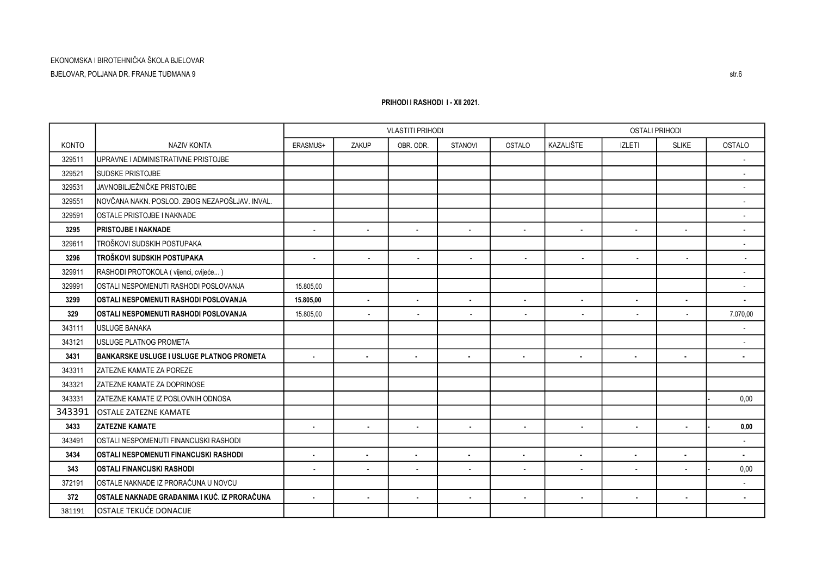## KONTO NAZIV KONTA ERASMUS+ ZAKUP OBR. ODR. STANOVI OSTALO KAZALIŠTE IZLETI SLIKE OSTALO 329511 UPRAVNE I ADMINISTRATIVNE PRISTOJBE - 329521 SUDSKE PRISTOJBE - 329531 JAVNOBILJEŽNIČKE PRISTOJBE - 329551 NOVČANA NAKN. POSLOD. ZBOG NEZAPOŠLJAV. INVAL. - 329591 OSTALE PRISTOJBE I NAKNADE - 3295 PRISTOJBE I NAKNADE - - - - - - - - - 329611 TROŠKOVI SUDSKIH POSTUPAKA - 3296 TROŠKOVI SUDSKIH POSTUPAKA - - - - - - - - - 329911 RASHODI PROTOKOLA ( vijenci, cvijeće... ) - 329991 OSTALI NESPOMENUTI RASHODI POSLOVANJA 15.805,00 - 3299 OSTALI NESPOMENUTI RASHODI POSLOVANJA - 15.805,00 - - - - - - - 329 OSTALI NESPOMENUTI RASHODI POSLOVANJA - 15.805,00 - - - - - - 7.070,00 343111 USLUGE BANAKA - 343121 USLUGE PLATNOG PROMETA - 3431 BANKARSKE USLUGE I USLUGE PLATNOG PROMETA - - - - - - - - - 343311 ZATEZNE KAMATE ZA POREZE 343321 ZATEZNE KAMATE ZA DOPRINOSE 343331 PATEZNE KAMATE IZ POSLOVNIH ODNOSA NA ROBIT STANOVNIH ODNOSA NA ROBIT STANOVNIH ODNOSA NA ROBIT STANOVNIH ODNOSA NA ROBIT STANOVNIH ODNOSA NA ROBIT STANOVNIH ODNOSA NA ROBIT STANOVNIH ODNOSA NA ROBIT STANOVNIH ODNOS 343391 OSTALE ZATEZNE KAMATE 3433 ZATEZNE KAMATE - - - - - - - - 0,00 - 343491 OSTALI NESPOMENUTI FINANCIJSKI RASHODI - 3434 OSTALI NESPOMENUTI FINANCIJSKI RASHODI - - - - - - - - - 343 OSTALI FINANCIJSKI RASHODI - - - - - - - - 0,00 - 372191 OSTALE NAKNADE IZ PRORAČUNA U NOVCU - 372 OSTALE NAKNADE GRAĐANIMA I KUĆ. IZ PRORAČUNA - - - - - - - - - 381191 OSTALE TEKUĆE DONACIJE VLASTITI PRIHODI OSTALI PRIHODI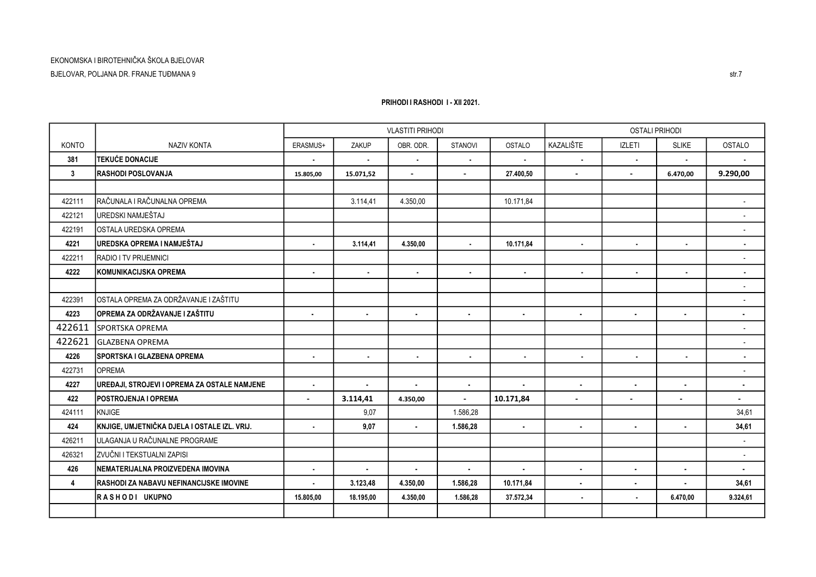BJELOVAR, POLJANA DR. FRANJE TUĐMANA 9

|              |                                                |                |                | <b>VLASTITI PRIHODI</b> |                |                | <b>OSTALI PRIHODI</b>       |                |                          |                          |
|--------------|------------------------------------------------|----------------|----------------|-------------------------|----------------|----------------|-----------------------------|----------------|--------------------------|--------------------------|
| <b>KONTO</b> | <b>NAZIV KONTA</b>                             | ERASMUS+       | ZAKUP          | OBR. ODR.               | <b>STANOVI</b> | OSTALO         | KAZALIŠTE                   | <b>IZLETI</b>  | <b>SLIKE</b>             | <b>OSTALO</b>            |
| 381          | <b>TEKUĆE DONACIJE</b>                         | $\sim$         | $\bullet$      | $\blacksquare$          | $\blacksquare$ | $\blacksquare$ | $\blacksquare$              | $\blacksquare$ | $\sim$                   | $\blacksquare$           |
| $\mathbf{3}$ | <b>RASHODI POSLOVANJA</b>                      | 15.805,00      | 15.071,52      | $\sim$                  | $\blacksquare$ | 27.400,50      | $\blacksquare$              | $\blacksquare$ | 6.470,00                 | 9.290,00                 |
|              |                                                |                |                |                         |                |                |                             |                |                          |                          |
| 422111       | IRAČUNALA I RAČUNALNA OPREMA                   |                | 3.114,41       | 4.350,00                |                | 10.171,84      |                             |                |                          | $\overline{\phantom{a}}$ |
| 422121       | UREDSKI NAMJEŠTAJ                              |                |                |                         |                |                |                             |                |                          | $\blacksquare$           |
| 422191       | IOSTALA UREDSKA OPREMA                         |                |                |                         |                |                |                             |                |                          | $\sim$                   |
| 4221         | IUREDSKA OPREMA I NAMJEŠTAJ                    |                | 3.114,41       | 4.350,00                | $\blacksquare$ | 10.171,84      | $\blacksquare$              |                | $\blacksquare$           | $\blacksquare$           |
| 422211       | <b>RADIO I TV PRIJEMNICI</b>                   |                |                |                         |                |                |                             |                |                          | $\blacksquare$           |
| 4222         | KOMUNIKACIJSKA OPREMA                          | $\sim$         | $\blacksquare$ | $\blacksquare$          | $\sim$         | $\blacksquare$ | $\blacksquare$              | $\blacksquare$ | $\sim$                   | $\blacksquare$           |
|              |                                                |                |                |                         |                |                |                             |                |                          | $\overline{\phantom{a}}$ |
| 422391       | IOSTALA OPREMA ZA ODRŽAVANJE I ZAŠTITU         |                |                |                         |                |                |                             |                |                          | $\overline{\phantom{a}}$ |
| 4223         | OPREMA ZA ODRŽAVANJE I ZAŠTITU                 | $\bullet$      | $\bullet$      | $\blacksquare$          | $\sim$         | $\sim$         | $\bullet$<br>$\blacksquare$ |                | $\blacksquare$           | $\blacksquare$           |
| 422611       | SPORTSKA OPREMA                                |                |                |                         |                |                |                             |                |                          | $\overline{\phantom{a}}$ |
| 422621       | <b>GLAZBENA OPREMA</b>                         |                |                |                         |                |                |                             |                |                          | $\overline{\phantom{a}}$ |
| 4226         | SPORTSKA I GLAZBENA OPREMA                     | $\blacksquare$ | $\blacksquare$ | $\blacksquare$          | $\blacksquare$ | $\blacksquare$ | $\blacksquare$              |                | $\sim$                   | $\blacksquare$           |
| 422731       | <b>OPREMA</b>                                  |                |                |                         |                |                |                             |                |                          | $\overline{\phantom{a}}$ |
| 4227         | UREĐAJI, STROJEVI I OPREMA ZA OSTALE NAMJENE   | $\sim$         | $\sim$         | $\bullet$               | $\sim$         | $\bullet$      | $\bullet$                   | $\blacksquare$ | $\blacksquare$           | $\blacksquare$           |
| 422          | <b>POSTROJENJA I OPREMA</b>                    | $\overline{a}$ | 3.114,41       | 4.350,00                | $\overline{a}$ | 10.171,84      | $\sim$                      |                | $\overline{\phantom{a}}$ | $\sim$                   |
| 424111       | KNJIGE                                         |                | 9.07           |                         | 1.586,28       |                |                             |                |                          | 34,61                    |
| 424          | İKNJIGE. UMJETNIČKA DJELA I OSTALE IZL. VRIJ.  | $\blacksquare$ | 9,07           | $\bullet$               | 1.586,28       | $\bullet$      | $\bullet$                   | ٠              | $\bullet$                | 34,61                    |
| 426211       | ULAGANJA U RAČUNALNE PROGRAME                  |                |                |                         |                |                |                             |                |                          | $\overline{\phantom{a}}$ |
| 426321       | IZVUČNI I TEKSTUALNI ZAPISI                    |                |                |                         |                |                |                             |                |                          | $\overline{\phantom{a}}$ |
| 426          | INEMATERIJALNA PROIZVEDENA IMOVINA             | $\sim$         | $\bullet$      | $\bullet$               | $\blacksquare$ | $\bullet$      | $\blacksquare$              | $\blacksquare$ | $\bullet$                | $\bullet$                |
| 4            | <b>RASHODI ZA NABAVU NEFINANCIJSKE IMOVINE</b> | $\sim$         | 3.123,48       | 4.350,00                | 1.586,28       | 10.171,84      | $\bullet$                   | $\blacksquare$ | $\sim$                   | 34,61                    |
|              | <b>IRASHODI UKUPNO</b>                         | 15.805,00      | 18.195,00      | 4.350,00                | 1.586,28       | 37.572,34      | $\blacksquare$              | $\blacksquare$ | 6.470,00                 | 9.324,61                 |
|              |                                                |                |                |                         |                |                |                             |                |                          |                          |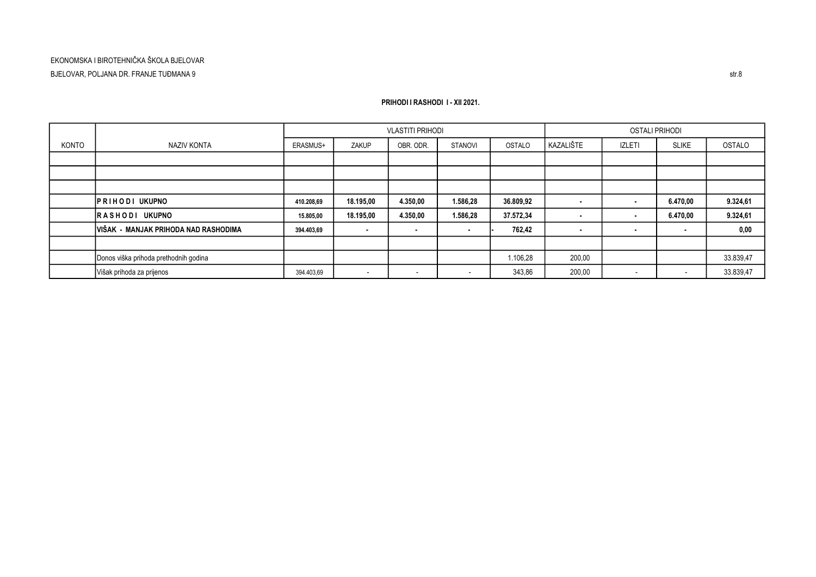|       |                                       | <b>VLASTITI PRIHODI</b><br>OSTALI PRIHODI |                          |                          |                          |               |                |                          |                          |           |
|-------|---------------------------------------|-------------------------------------------|--------------------------|--------------------------|--------------------------|---------------|----------------|--------------------------|--------------------------|-----------|
| KONTO | NAZIV KONTA                           | ERASMUS+                                  | ZAKUP                    | OBR. ODR.                | <b>STANOVI</b>           | <b>OSTALO</b> | KAZALIŠTE      | <b>IZLETI</b>            | <b>SLIKE</b>             | OSTALO    |
|       |                                       |                                           |                          |                          |                          |               |                |                          |                          |           |
|       |                                       |                                           |                          |                          |                          |               |                |                          |                          |           |
|       |                                       |                                           |                          |                          |                          |               |                |                          |                          |           |
|       | <b>IPRIHODI UKUPNO</b>                | 410.208,69                                | 18.195,00                | 4.350,00                 | 1.586,28                 | 36.809,92     |                | $\blacksquare$           | 6.470,00                 | 9.324,61  |
|       | <b>RASHODI UKUPNO</b>                 | 15.805,00                                 | 18.195,00                | 4.350,00                 | 1.586,28                 | 37.572,34     |                | ٠                        | 6.470,00                 | 9.324,61  |
|       | IVIŠAK - MANJAK PRIHODA NAD RASHODIMA | 394.403,69                                | . н.                     | $\sim$                   | . .                      | 762,42        | $\blacksquare$ | $\blacksquare$           | <b>COL</b>               | 0,00      |
|       |                                       |                                           |                          |                          |                          |               |                |                          |                          |           |
|       | Donos viška prihoda prethodnih godina |                                           |                          |                          |                          | 1.106,28      | 200,00         |                          |                          | 33.839,47 |
|       | Višak prihoda za prijenos             | 394.403,69                                | $\overline{\phantom{a}}$ | $\overline{\phantom{0}}$ | $\overline{\phantom{0}}$ | 343,86        | 200,00         | $\overline{\phantom{a}}$ | $\overline{\phantom{a}}$ | 33.839,47 |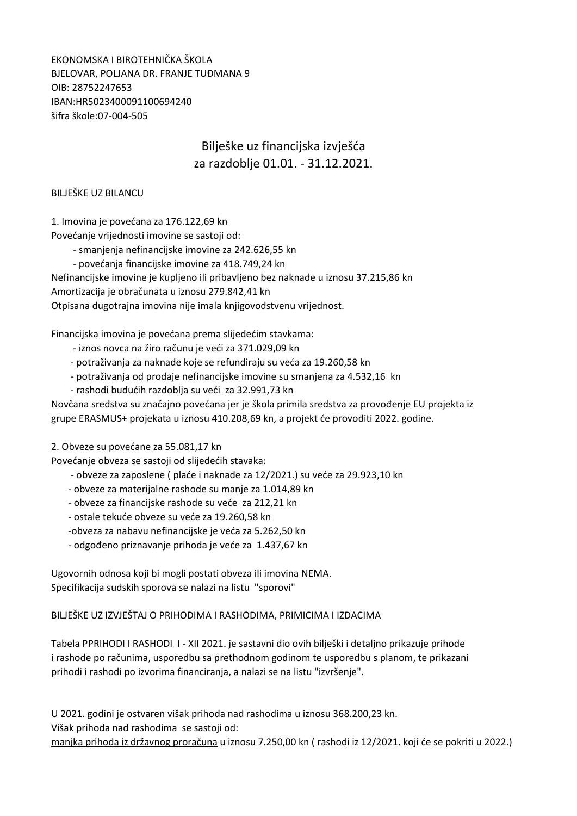EKONOMSKA I BIROTEHNIČKA ŠKOLA BJELOVAR, POLJANA DR. FRANJE TUĐMANA 9 OIB: 28752247653 IBAN:HR5023400091100694240 šifra škole:07-004-505

## Bilješke uz financijska izvješća za razdoblje 01.01. - 31.12.2021.

### BILJEŠKE UZ BILANCU

1. Imovina je povećana za 176.122,69 kn

Povećanje vrijednosti imovine se sastoji od:

- smanjenja nefinancijske imovine za 242.626,55 kn

- povećanja financijske imovine za 418.749,24 kn

Nefinancijske imovine je kupljeno ili pribavljeno bez naknade u iznosu 37.215,86 kn

Amortizacija je obračunata u iznosu 279.842,41 kn

Otpisana dugotrajna imovina nije imala knjigovodstvenu vrijednost.

Financijska imovina je povećana prema slijedećim stavkama:

- iznos novca na žiro računu je veći za 371.029,09 kn
- potraživanja za naknade koje se refundiraju su veća za 19.260,58 kn
- potraživanja od prodaje nefinancijske imovine su smanjena za 4.532,16 kn
- rashodi budućih razdoblja su veći za 32.991,73 kn

Novčana sredstva su značajno povećana jer je škola primila sredstva za provođenje EU projekta iz grupe ERASMUS+ projekata u iznosu 410.208,69 kn, a projekt će provoditi 2022. godine.

2. Obveze su povećane za 55.081,17 kn

Povećanje obveza se sastoji od slijedećih stavaka:

- obveze za zaposlene ( plaće i naknade za 12/2021.) su veće za 29.923,10 kn
- obveze za materijalne rashode su manje za 1.014,89 kn
- obveze za financijske rashode su veće za 212,21 kn
- ostale tekuće obveze su veće za 19.260,58 kn
- -obveza za nabavu nefinancijske je veća za 5.262,50 kn
- odgođeno priznavanje prihoda je veće za 1.437,67 kn

Ugovornih odnosa koji bi mogli postati obveza ili imovina NEMA. Specifikacija sudskih sporova se nalazi na listu "sporovi"

BILJEŠKE UZ IZVJEŠTAJ O PRIHODIMA I RASHODIMA, PRIMICIMA I IZDACIMA

Tabela PPRIHODI I RASHODI I - XII 2021. je sastavni dio ovih bilješki i detaljno prikazuje prihode i rashode po računima, usporedbu sa prethodnom godinom te usporedbu s planom, te prikazani prihodi i rashodi po izvorima financiranja, a nalazi se na listu "izvršenje".

U 2021. godini je ostvaren višak prihoda nad rashodima u iznosu 368.200,23 kn. Višak prihoda nad rashodima se sastoji od: manjka prihoda iz državnog proračuna u iznosu 7.250,00 kn ( rashodi iz 12/2021. koji će se pokriti u 2022.)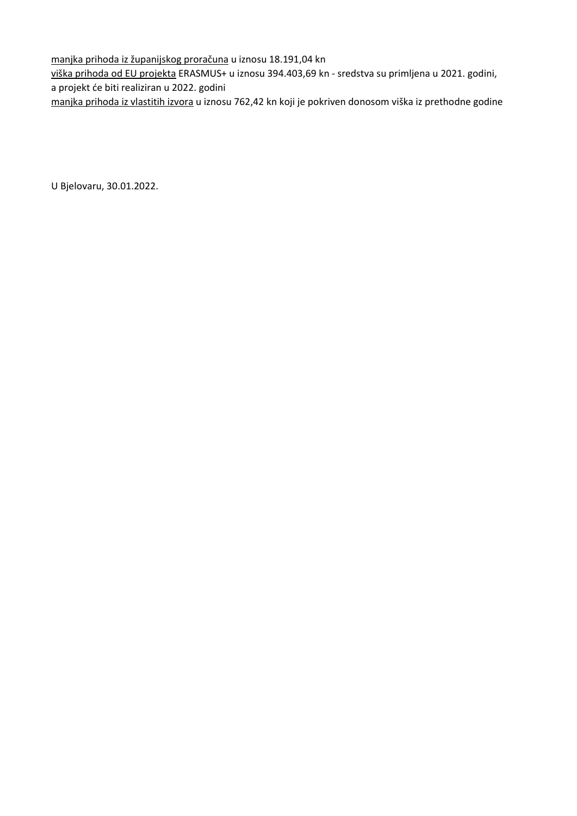manjka prihoda iz županijskog proračuna u iznosu 18.191,04 kn

viška prihoda od EU projekta ERASMUS+ u iznosu 394.403,69 kn - sredstva su primljena u 2021. godini, a projekt će biti realiziran u 2022. godini

manjka prihoda iz vlastitih izvora u iznosu 762,42 kn koji je pokriven donosom viška iz prethodne godine

U Bjelovaru, 30.01.2022.